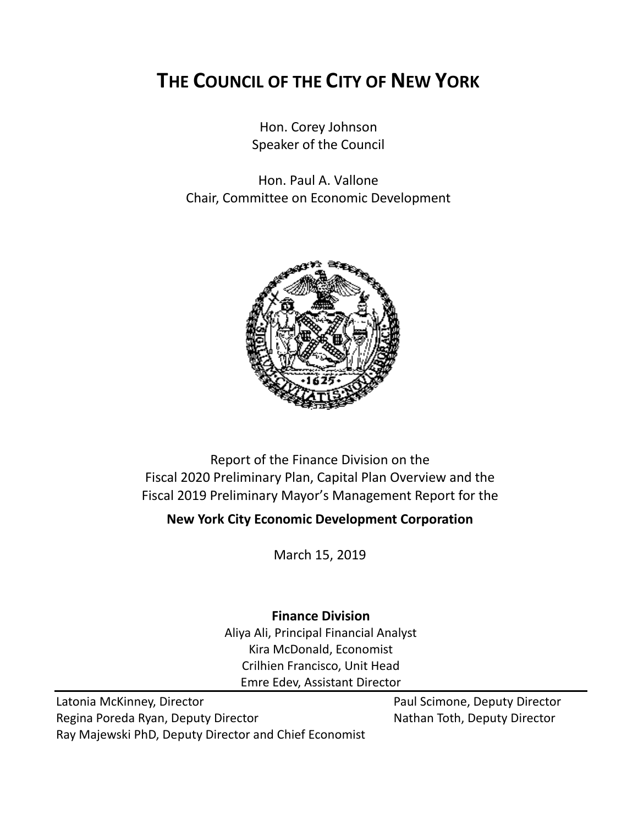# **THE COUNCIL OF THE CITY OF NEW YORK**

Hon. Corey Johnson Speaker of the Council

Hon. Paul A. Vallone Chair, Committee on Economic Development



Report of the Finance Division on the Fiscal 2020 Preliminary Plan, Capital Plan Overview and the Fiscal 2019 Preliminary Mayor's Management Report for the

**New York City Economic Development Corporation**

March 15, 2019

# **Finance Division**

Aliya Ali, Principal Financial Analyst Kira McDonald, Economist Crilhien Francisco, Unit Head Emre Edev, Assistant Director

Latonia McKinney, Director **Paul Scimone, Deputy Director** Paul Scimone, Deputy Director Regina Poreda Ryan, Deputy Director Nathan Toth, Deputy Director Ray Majewski PhD, Deputy Director and Chief Economist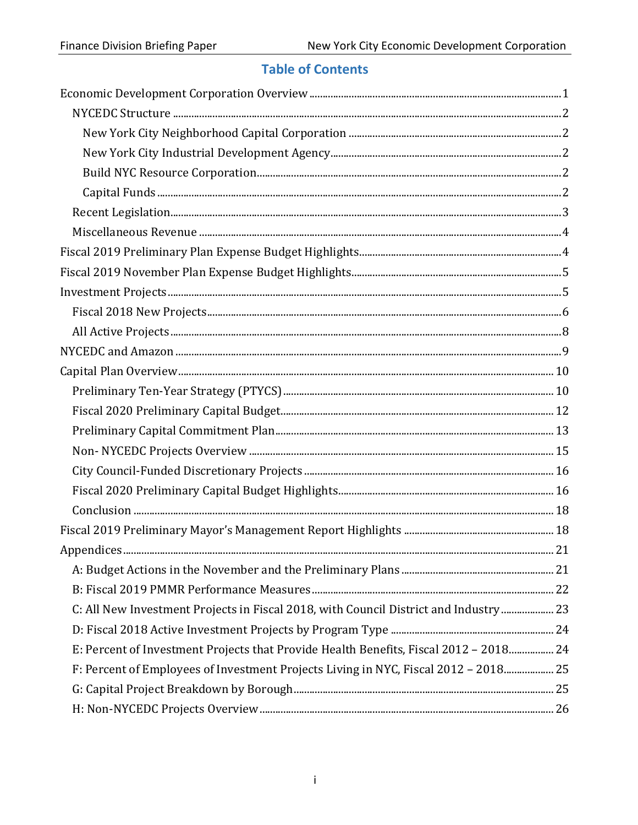# **Table of Contents**

| C: All New Investment Projects in Fiscal 2018, with Council District and Industry  23 |  |
|---------------------------------------------------------------------------------------|--|
|                                                                                       |  |
| E: Percent of Investment Projects that Provide Health Benefits, Fiscal 2012 - 2018 24 |  |
| F: Percent of Employees of Investment Projects Living in NYC, Fiscal 2012 - 2018 25   |  |
|                                                                                       |  |
|                                                                                       |  |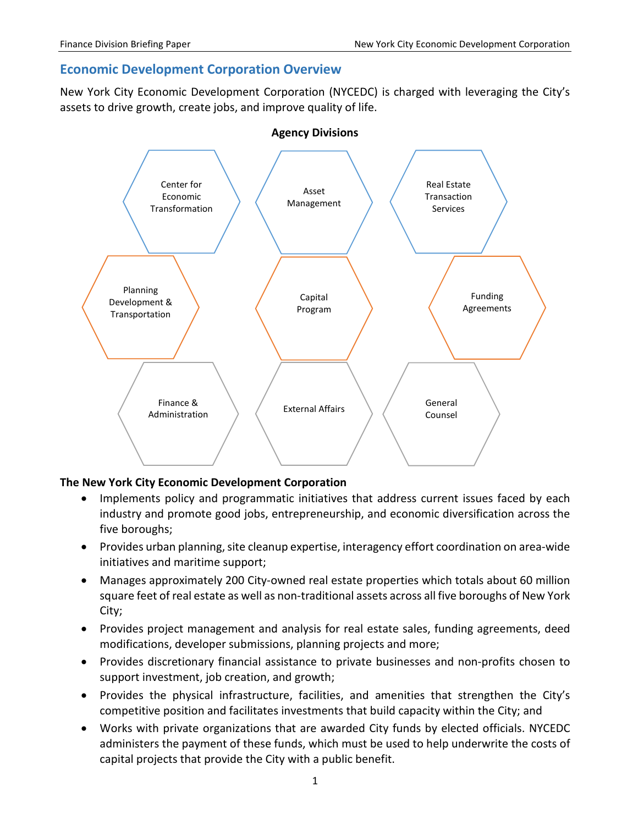# <span id="page-2-0"></span>**Economic Development Corporation Overview**

New York City Economic Development Corporation (NYCEDC) is charged with leveraging the City's assets to drive growth, create jobs, and improve quality of life.



#### **The New York City Economic Development Corporation**

- Implements policy and programmatic initiatives that address current issues faced by each industry and promote good jobs, entrepreneurship, and economic diversification across the five boroughs;
- Provides urban planning, site cleanup expertise, interagency effort coordination on area-wide initiatives and maritime support;
- Manages approximately 200 City-owned real estate properties which totals about 60 million square feet of real estate as well as non-traditional assets across all five boroughs of New York City;
- Provides project management and analysis for real estate sales, funding agreements, deed modifications, developer submissions, planning projects and more;
- Provides discretionary financial assistance to private businesses and non-profits chosen to support investment, job creation, and growth;
- Provides the physical infrastructure, facilities, and amenities that strengthen the City's competitive position and facilitates investments that build capacity within the City; and
- Works with private organizations that are awarded City funds by elected officials. NYCEDC administers the payment of these funds, which must be used to help underwrite the costs of capital projects that provide the City with a public benefit.

1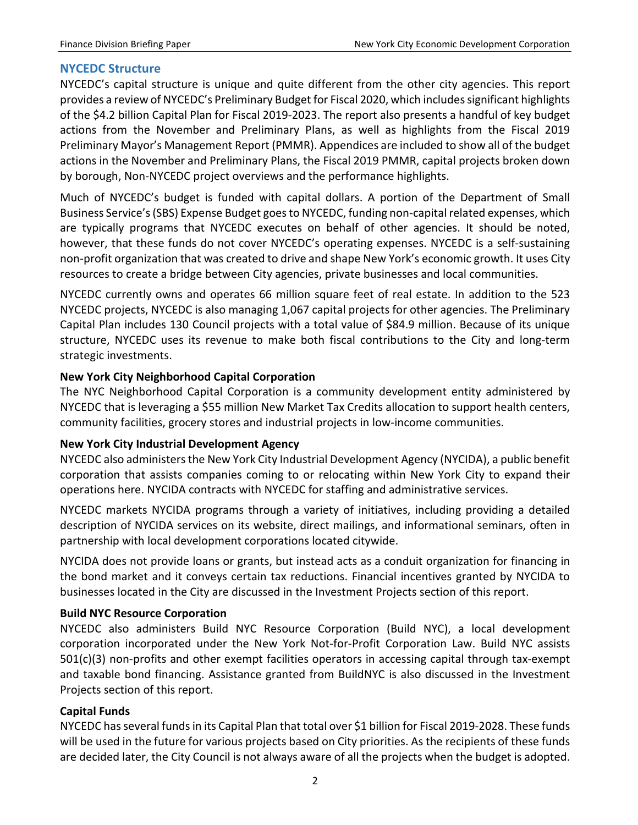#### <span id="page-3-0"></span>**NYCEDC Structure**

NYCEDC's capital structure is unique and quite different from the other city agencies. This report provides a review of NYCEDC's Preliminary Budget for Fiscal 2020, which includes significant highlights of the \$4.2 billion Capital Plan for Fiscal 2019-2023. The report also presents a handful of key budget actions from the November and Preliminary Plans, as well as highlights from the Fiscal 2019 Preliminary Mayor's Management Report (PMMR). Appendices are included to show all of the budget actions in the November and Preliminary Plans, the Fiscal 2019 PMMR, capital projects broken down by borough, Non-NYCEDC project overviews and the performance highlights.

Much of NYCEDC's budget is funded with capital dollars. A portion of the Department of Small Business Service's (SBS) Expense Budget goes to NYCEDC, funding non-capital related expenses, which are typically programs that NYCEDC executes on behalf of other agencies. It should be noted, however, that these funds do not cover NYCEDC's operating expenses. NYCEDC is a self-sustaining non-profit organization that was created to drive and shape New York's economic growth. It uses City resources to create a bridge between City agencies, private businesses and local communities.

NYCEDC currently owns and operates 66 million square feet of real estate. In addition to the 523 NYCEDC projects, NYCEDC is also managing 1,067 capital projects for other agencies. The Preliminary Capital Plan includes 130 Council projects with a total value of \$84.9 million. Because of its unique structure, NYCEDC uses its revenue to make both fiscal contributions to the City and long-term strategic investments.

#### <span id="page-3-1"></span>**New York City Neighborhood Capital Corporation**

The NYC Neighborhood Capital Corporation is a community development entity administered by NYCEDC that is leveraging a \$55 million New Market Tax Credits allocation to support health centers, community facilities, grocery stores and industrial projects in low-income communities.

#### <span id="page-3-2"></span>**New York City Industrial Development Agency**

NYCEDC also administers the New York City Industrial Development Agency (NYCIDA), a public benefit corporation that assists companies coming to or relocating within New York City to expand their operations here. NYCIDA contracts with NYCEDC for staffing and administrative services.

NYCEDC markets NYCIDA programs through a variety of initiatives, including providing a detailed description of NYCIDA services on its website, direct mailings, and informational seminars, often in partnership with local development corporations located citywide.

NYCIDA does not provide loans or grants, but instead acts as a conduit organization for financing in the bond market and it conveys certain tax reductions. Financial incentives granted by NYCIDA to businesses located in the City are discussed in the Investment Projects section of this report.

#### <span id="page-3-3"></span>**Build NYC Resource Corporation**

NYCEDC also administers Build NYC Resource Corporation (Build NYC), a local development corporation incorporated under the New York Not-for-Profit Corporation Law. Build NYC assists 501(c)(3) non-profits and other exempt facilities operators in accessing capital through tax-exempt and taxable bond financing. Assistance granted from BuildNYC is also discussed in the Investment Projects section of this report.

#### <span id="page-3-4"></span>**Capital Funds**

NYCEDC has several funds in its Capital Plan that total over \$1 billion for Fiscal 2019-2028. These funds will be used in the future for various projects based on City priorities. As the recipients of these funds are decided later, the City Council is not always aware of all the projects when the budget is adopted.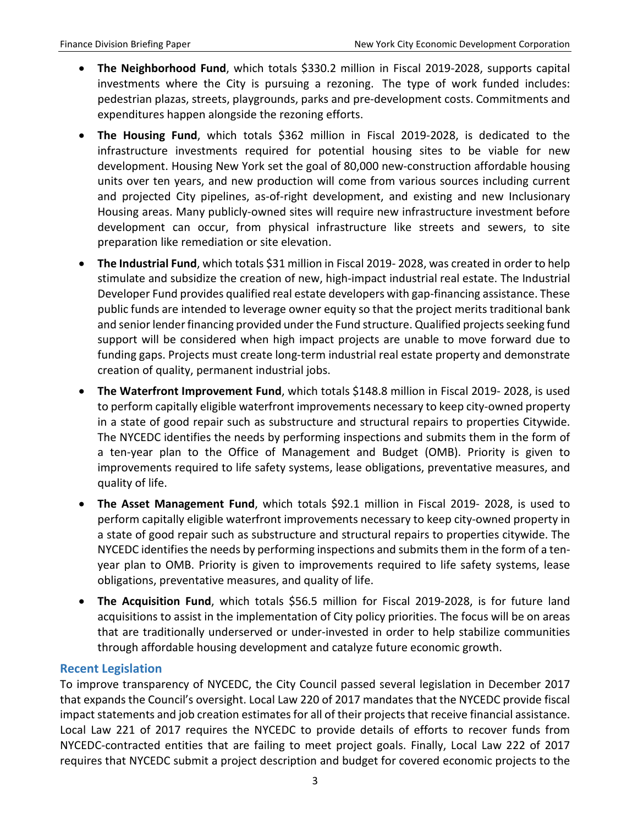- **The Neighborhood Fund**, which totals \$330.2 million in Fiscal 2019-2028, supports capital investments where the City is pursuing a rezoning. The type of work funded includes: pedestrian plazas, streets, playgrounds, parks and pre-development costs. Commitments and expenditures happen alongside the rezoning efforts.
- **The Housing Fund**, which totals \$362 million in Fiscal 2019-2028, is dedicated to the infrastructure investments required for potential housing sites to be viable for new development. Housing New York set the goal of 80,000 new-construction affordable housing units over ten years, and new production will come from various sources including current and projected City pipelines, as-of-right development, and existing and new Inclusionary Housing areas. Many publicly-owned sites will require new infrastructure investment before development can occur, from physical infrastructure like streets and sewers, to site preparation like remediation or site elevation.
- **The Industrial Fund**, which totals \$31 million in Fiscal 2019- 2028, was created in order to help stimulate and subsidize the creation of new, high-impact industrial real estate. The Industrial Developer Fund provides qualified real estate developers with gap-financing assistance. These public funds are intended to leverage owner equity so that the project merits traditional bank and senior lender financing provided under the Fund structure. Qualified projects seeking fund support will be considered when high impact projects are unable to move forward due to funding gaps. Projects must create long-term industrial real estate property and demonstrate creation of quality, permanent industrial jobs.
- **The Waterfront Improvement Fund**, which totals \$148.8 million in Fiscal 2019- 2028, is used to perform capitally eligible waterfront improvements necessary to keep city-owned property in a state of good repair such as substructure and structural repairs to properties Citywide. The NYCEDC identifies the needs by performing inspections and submits them in the form of a ten-year plan to the Office of Management and Budget (OMB). Priority is given to improvements required to life safety systems, lease obligations, preventative measures, and quality of life.
- **The Asset Management Fund**, which totals \$92.1 million in Fiscal 2019- 2028, is used to perform capitally eligible waterfront improvements necessary to keep city-owned property in a state of good repair such as substructure and structural repairs to properties citywide. The NYCEDC identifies the needs by performing inspections and submits them in the form of a tenyear plan to OMB. Priority is given to improvements required to life safety systems, lease obligations, preventative measures, and quality of life.
- **The Acquisition Fund**, which totals \$56.5 million for Fiscal 2019-2028, is for future land acquisitions to assist in the implementation of City policy priorities. The focus will be on areas that are traditionally underserved or under-invested in order to help stabilize communities through affordable housing development and catalyze future economic growth.

# <span id="page-4-0"></span>**Recent Legislation**

To improve transparency of NYCEDC, the City Council passed several legislation in December 2017 that expands the Council's oversight. Local Law 220 of 2017 mandates that the NYCEDC provide fiscal impact statements and job creation estimates for all of their projects that receive financial assistance. Local Law 221 of 2017 requires the NYCEDC to provide details of efforts to recover funds from NYCEDC-contracted entities that are failing to meet project goals. Finally, Local Law 222 of 2017 requires that NYCEDC submit a project description and budget for covered economic projects to the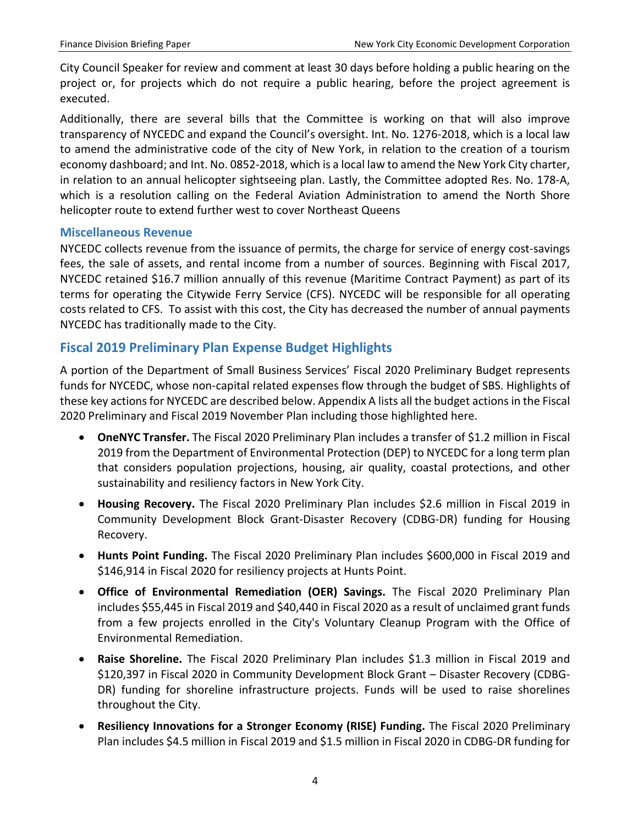City Council Speaker for review and comment at least 30 days before holding a public hearing on the project or, for projects which do not require a public hearing, before the project agreement is executed.

Additionally, there are several bills that the Committee is working on that will also improve transparency of NYCEDC and expand the Council's oversight. [Int. No. 1276-2018,](https://legistar.council.nyc.gov/LegislationDetail.aspx?ID=3763668&GUID=F95CEA53-F549-4A33-BF2F-790EA109B1B9&Options=Advanced&Search=) which is a local law to amend the administrative code of the city of New York, in relation to the creation of a tourism economy dashboard; and [Int. No. 0852-2018,](https://legistar.council.nyc.gov/LegislationDetail.aspx?ID=3473591&GUID=62488421-C5F1-449C-AFFD-A210DFCCD683&Options=Advanced&Search=) which is a local law to amend the New York City charter, in relation to an annual helicopter sightseeing plan. Lastly, the Committee adopted Res. No. 178-A, which is a resolution calling on the Federal Aviation Administration to amend the North Shore helicopter route to extend further west to cover Northeast Queens

#### <span id="page-5-0"></span>**Miscellaneous Revenue**

NYCEDC collects revenue from the issuance of permits, the charge for service of energy cost-savings fees, the sale of assets, and rental income from a number of sources. Beginning with Fiscal 2017, NYCEDC retained \$16.7 million annually of this revenue (Maritime Contract Payment) as part of its terms for operating the Citywide Ferry Service (CFS). NYCEDC will be responsible for all operating costs related to CFS. To assist with this cost, the City has decreased the number of annual payments NYCEDC has traditionally made to the City.

# <span id="page-5-1"></span>**Fiscal 2019 Preliminary Plan Expense Budget Highlights**

A portion of the Department of Small Business Services' Fiscal 2020 Preliminary Budget represents funds for NYCEDC, whose non-capital related expenses flow through the budget of SBS. Highlights of these key actions for NYCEDC are described below. Appendix A lists all the budget actions in the Fiscal 2020 Preliminary and Fiscal 2019 November Plan including those highlighted here.

- **OneNYC Transfer.** The Fiscal 2020 Preliminary Plan includes a transfer of \$1.2 million in Fiscal 2019 from the Department of Environmental Protection (DEP) to NYCEDC for a long term plan that considers population projections, housing, air quality, coastal protections, and other sustainability and resiliency factors in New York City.
- **Housing Recovery.** The Fiscal 2020 Preliminary Plan includes \$2.6 million in Fiscal 2019 in Community Development Block Grant-Disaster Recovery (CDBG-DR) funding for Housing Recovery.
- **Hunts Point Funding.** The Fiscal 2020 Preliminary Plan includes \$600,000 in Fiscal 2019 and \$146,914 in Fiscal 2020 for resiliency projects at Hunts Point.
- **Office of Environmental Remediation (OER) Savings.** The Fiscal 2020 Preliminary Plan includes \$55,445 in Fiscal 2019 and \$40,440 in Fiscal 2020 as a result of unclaimed grant funds from a few projects enrolled in the City's Voluntary Cleanup Program with the Office of Environmental Remediation.
- **Raise Shoreline.** The Fiscal 2020 Preliminary Plan includes \$1.3 million in Fiscal 2019 and \$120,397 in Fiscal 2020 in Community Development Block Grant – Disaster Recovery (CDBG-DR) funding for shoreline infrastructure projects. Funds will be used to raise shorelines throughout the City.
- **Resiliency Innovations for a Stronger Economy (RISE) Funding.** The Fiscal 2020 Preliminary Plan includes \$4.5 million in Fiscal 2019 and \$1.5 million in Fiscal 2020 in CDBG-DR funding for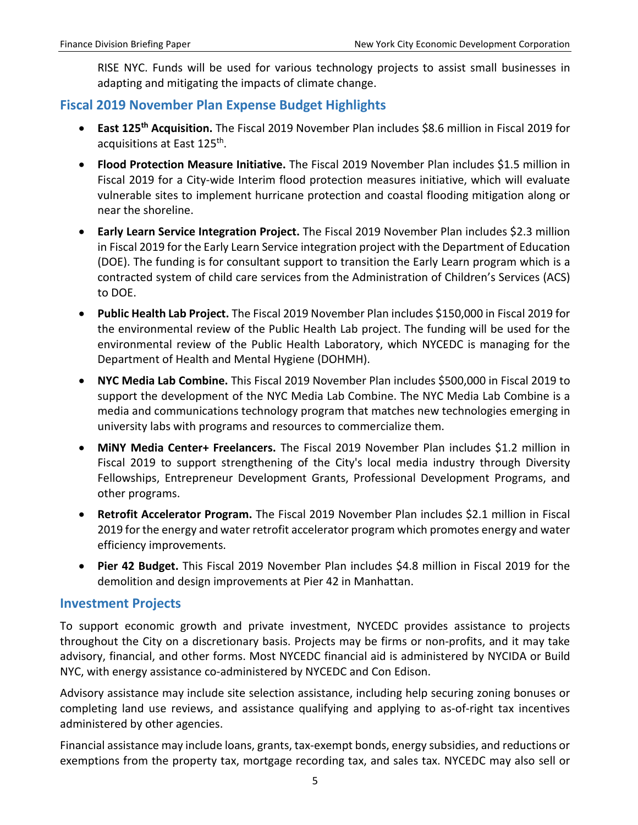RISE NYC. Funds will be used for various technology projects to assist small businesses in adapting and mitigating the impacts of climate change.

# <span id="page-6-0"></span>**Fiscal 2019 November Plan Expense Budget Highlights**

- **East 125th Acquisition.** The Fiscal 2019 November Plan includes \$8.6 million in Fiscal 2019 for acquisitions at East 125<sup>th</sup>.
- **Flood Protection Measure Initiative.** The Fiscal 2019 November Plan includes \$1.5 million in Fiscal 2019 for a City-wide Interim flood protection measures initiative, which will evaluate vulnerable sites to implement hurricane protection and coastal flooding mitigation along or near the shoreline.
- **Early Learn Service Integration Project.** The Fiscal 2019 November Plan includes \$2.3 million in Fiscal 2019 for the Early Learn Service integration project with the Department of Education (DOE). The funding is for consultant support to transition the Early Learn program which is a contracted system of child care services from the Administration of Children's Services (ACS) to DOE.
- **Public Health Lab Project.** The Fiscal 2019 November Plan includes \$150,000 in Fiscal 2019 for the environmental review of the Public Health Lab project. The funding will be used for the environmental review of the Public Health Laboratory, which NYCEDC is managing for the Department of Health and Mental Hygiene (DOHMH).
- **NYC Media Lab Combine.** This Fiscal 2019 November Plan includes \$500,000 in Fiscal 2019 to support the development of the NYC Media Lab Combine. The NYC Media Lab Combine is a media and communications technology program that matches new technologies emerging in university labs with programs and resources to commercialize them.
- **MiNY Media Center+ Freelancers.** The Fiscal 2019 November Plan includes \$1.2 million in Fiscal 2019 to support strengthening of the City's local media industry through Diversity Fellowships, Entrepreneur Development Grants, Professional Development Programs, and other programs.
- **Retrofit Accelerator Program.** The Fiscal 2019 November Plan includes \$2.1 million in Fiscal 2019 for the energy and water retrofit accelerator program which promotes energy and water efficiency improvements.
- **Pier 42 Budget.** This Fiscal 2019 November Plan includes \$4.8 million in Fiscal 2019 for the demolition and design improvements at Pier 42 in Manhattan.

# <span id="page-6-1"></span>**Investment Projects**

To support economic growth and private investment, NYCEDC provides assistance to projects throughout the City on a discretionary basis. Projects may be firms or non-profits, and it may take advisory, financial, and other forms. Most NYCEDC financial aid is administered by NYCIDA or Build NYC, with energy assistance co-administered by NYCEDC and Con Edison.

Advisory assistance may include site selection assistance, including help securing zoning bonuses or completing land use reviews, and assistance qualifying and applying to as-of-right tax incentives administered by other agencies.

Financial assistance may include loans, grants, tax-exempt bonds, energy subsidies, and reductions or exemptions from the property tax, mortgage recording tax, and sales tax. NYCEDC may also sell or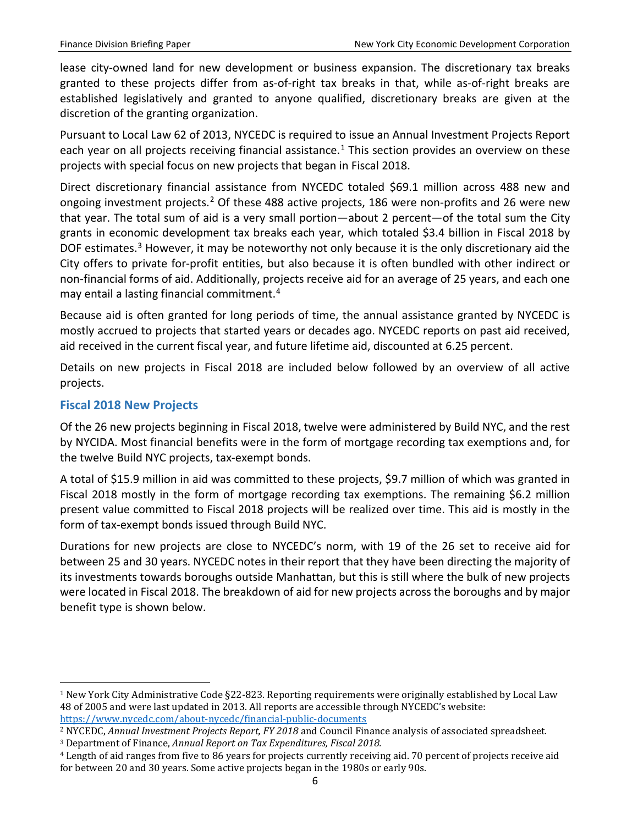lease city-owned land for new development or business expansion. The discretionary tax breaks granted to these projects differ from as-of-right tax breaks in that, while as-of-right breaks are established legislatively and granted to anyone qualified, discretionary breaks are given at the discretion of the granting organization.

Pursuant to Local Law 62 of 2013, NYCEDC is required to issue an Annual Investment Projects Report each year on all projects receiving financial assistance.<sup>[1](#page-7-1)</sup> This section provides an overview on these projects with special focus on new projects that began in Fiscal 2018.

Direct discretionary financial assistance from NYCEDC totaled \$69.1 million across 488 new and ongoing investment projects.[2](#page-7-2) Of these 488 active projects, 186 were non-profits and 26 were new that year. The total sum of aid is a very small portion—about 2 percent—of the total sum the City grants in economic development tax breaks each year, which totaled \$3.4 billion in Fiscal 2018 by DOF estimates.<sup>[3](#page-7-3)</sup> However, it may be noteworthy not only because it is the only discretionary aid the City offers to private for-profit entities, but also because it is often bundled with other indirect or non-financial forms of aid. Additionally, projects receive aid for an average of 25 years, and each one may entail a lasting financial commitment.<sup>[4](#page-7-4)</sup>

Because aid is often granted for long periods of time, the annual assistance granted by NYCEDC is mostly accrued to projects that started years or decades ago. NYCEDC reports on past aid received, aid received in the current fiscal year, and future lifetime aid, discounted at 6.25 percent.

Details on new projects in Fiscal 2018 are included below followed by an overview of all active projects.

### <span id="page-7-0"></span>**Fiscal 2018 New Projects**

Of the 26 new projects beginning in Fiscal 2018, twelve were administered by Build NYC, and the rest by NYCIDA. Most financial benefits were in the form of mortgage recording tax exemptions and, for the twelve Build NYC projects, tax-exempt bonds.

A total of \$15.9 million in aid was committed to these projects, \$9.7 million of which was granted in Fiscal 2018 mostly in the form of mortgage recording tax exemptions. The remaining \$6.2 million present value committed to Fiscal 2018 projects will be realized over time. This aid is mostly in the form of tax-exempt bonds issued through Build NYC.

Durations for new projects are close to NYCEDC's norm, with 19 of the 26 set to receive aid for between 25 and 30 years. NYCEDC notes in their report that they have been directing the majority of its investments towards boroughs outside Manhattan, but this is still where the bulk of new projects were located in Fiscal 2018. The breakdown of aid for new projects across the boroughs and by major benefit type is shown below.

<span id="page-7-1"></span> <sup>1</sup> New York City Administrative Code §22-823. Reporting requirements were originally established by Local Law 48 of 2005 and were last updated in 2013. All reports are accessible through NYCEDC's website: <https://www.nycedc.com/about-nycedc/financial-public-documents>

<span id="page-7-2"></span><sup>2</sup> NYCEDC, *Annual Investment Projects Report, FY 2018* and Council Finance analysis of associated spreadsheet.

<span id="page-7-3"></span><sup>3</sup> Department of Finance, *Annual Report on Tax Expenditures, Fiscal 2018.*

<span id="page-7-4"></span><sup>4</sup> Length of aid ranges from five to 86 years for projects currently receiving aid. 70 percent of projects receive aid for between 20 and 30 years. Some active projects began in the 1980s or early 90s.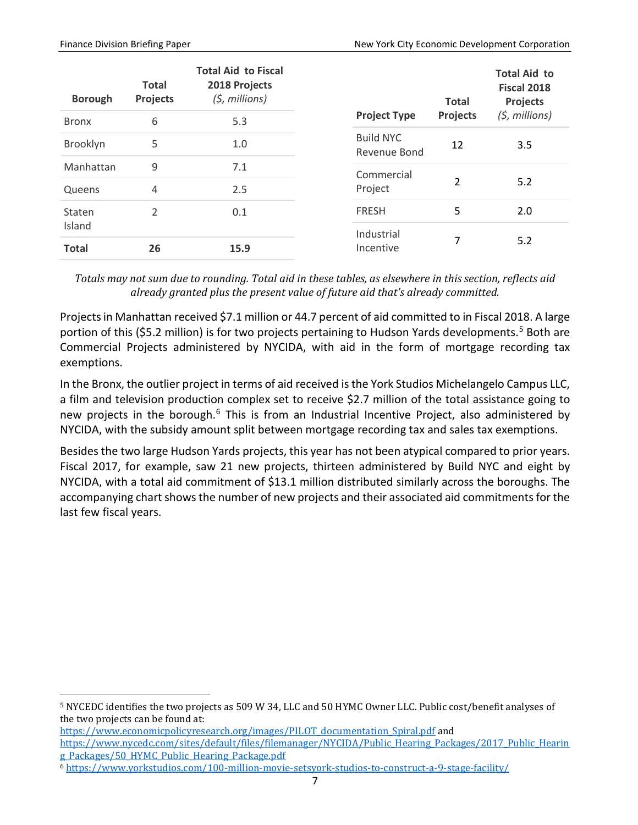| <b>Borough</b><br><b>Bronx</b> | <b>Total</b><br><b>Projects</b><br>6 | <b>Total Aid to Fiscal</b><br>2018 Projects<br>$(5,$ millions)<br>5.3 | <b>Project Type</b>              | <b>Total</b><br><b>Projects</b> | <b>Total Aid to</b><br><b>Fiscal 2018</b><br><b>Projects</b><br>$(5,$ millions) |
|--------------------------------|--------------------------------------|-----------------------------------------------------------------------|----------------------------------|---------------------------------|---------------------------------------------------------------------------------|
| Brooklyn                       | 5                                    | 1.0                                                                   | <b>Build NYC</b><br>Revenue Bond | 12                              | 3.5                                                                             |
| Manhattan                      | 9                                    | 7.1                                                                   | Commercial                       |                                 |                                                                                 |
| Queens                         | 4                                    | 2.5                                                                   | Project                          | 2                               | 5.2                                                                             |
| Staten                         | 2                                    | 0.1                                                                   | <b>FRESH</b>                     | 5                               | 2.0                                                                             |
| Island                         |                                      |                                                                       | Industrial                       |                                 |                                                                                 |
| <b>Total</b>                   | 26                                   | 15.9                                                                  | Incentive                        | 7                               | 5.2                                                                             |

*Totals may not sum due to rounding. Total aid in these tables, as elsewhere in this section, reflects aid already granted plus the present value of future aid that's already committed.*

Projects in Manhattan received \$7.1 million or 44.7 percent of aid committed to in Fiscal 2018. A large portion of this (\$[5](#page-8-0).2 million) is for two projects pertaining to Hudson Yards developments.<sup>5</sup> Both are Commercial Projects administered by NYCIDA, with aid in the form of mortgage recording tax exemptions.

In the Bronx, the outlier project in terms of aid received is the York Studios Michelangelo Campus LLC, a film and television production complex set to receive \$2.7 million of the total assistance going to new projects in the borough.<sup>6</sup> This is from an Industrial Incentive Project, also administered by NYCIDA, with the subsidy amount split between mortgage recording tax and sales tax exemptions.

Besides the two large Hudson Yards projects, this year has not been atypical compared to prior years. Fiscal 2017, for example, saw 21 new projects, thirteen administered by Build NYC and eight by NYCIDA, with a total aid commitment of \$13.1 million distributed similarly across the boroughs. The accompanying chart shows the number of new projects and their associated aid commitments for the last few fiscal years.

<span id="page-8-0"></span> <sup>5</sup> NYCEDC identifies the two projects as 509 W 34, LLC and 50 HYMC Owner LLC. Public cost/benefit analyses of the two projects can be found at:

[https://www.economicpolicyresearch.org/images/PILOT\\_documentation\\_Spiral.pdf](https://www.economicpolicyresearch.org/images/PILOT_documentation_Spiral.pdf) and [https://www.nycedc.com/sites/default/files/filemanager/NYCIDA/Public\\_Hearing\\_Packages/2017\\_Public\\_Hearin](https://www.nycedc.com/sites/default/files/filemanager/NYCIDA/Public_Hearing_Packages/2017_Public_Hearing_Packages/50_HYMC_Public_Hearing_Package.pdf) [g\\_Packages/50\\_HYMC\\_Public\\_Hearing\\_Package.pdf](https://www.nycedc.com/sites/default/files/filemanager/NYCIDA/Public_Hearing_Packages/2017_Public_Hearing_Packages/50_HYMC_Public_Hearing_Package.pdf)

<span id="page-8-1"></span><sup>6</sup> <https://www.yorkstudios.com/100-million-movie-setsyork-studios-to-construct-a-9-stage-facility/>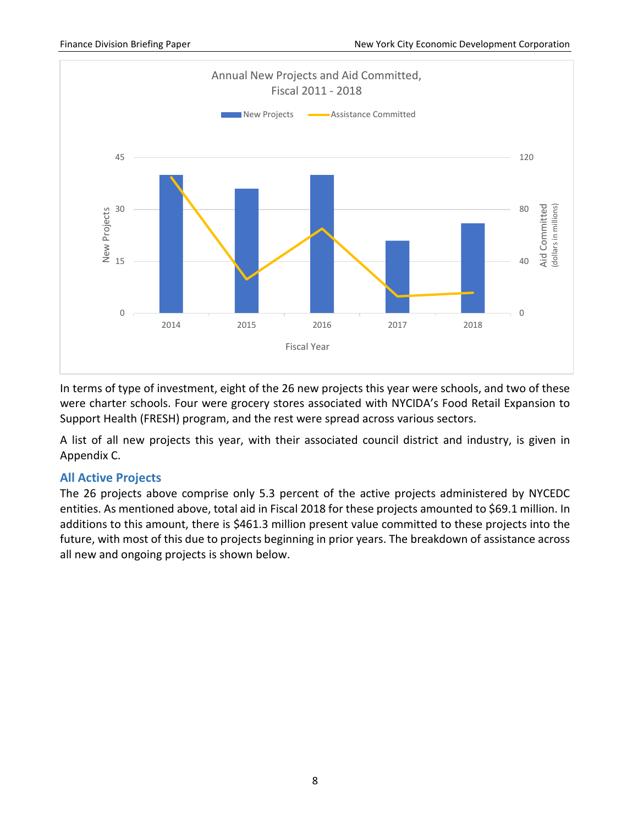

In terms of type of investment, eight of the 26 new projects this year were schools, and two of these were charter schools. Four were grocery stores associated with NYCIDA's Food Retail Expansion to Support Health (FRESH) program, and the rest were spread across various sectors.

A list of all new projects this year, with their associated council district and industry, is given in Appendix C.

#### <span id="page-9-0"></span>**All Active Projects**

The 26 projects above comprise only 5.3 percent of the active projects administered by NYCEDC entities. As mentioned above, total aid in Fiscal 2018 for these projects amounted to \$69.1 million. In additions to this amount, there is \$461.3 million present value committed to these projects into the future, with most of this due to projects beginning in prior years. The breakdown of assistance across all new and ongoing projects is shown below.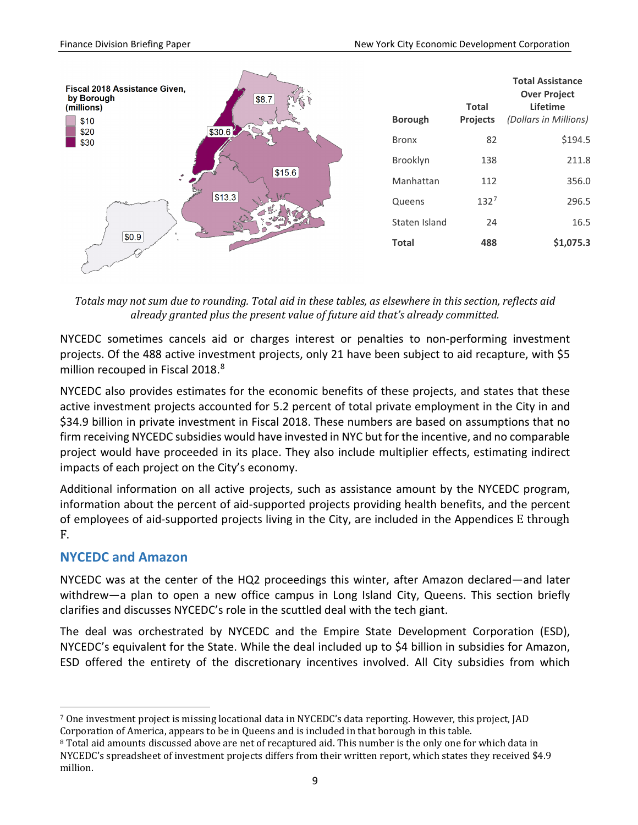

*Totals may not sum due to rounding. Total aid in these tables, as elsewhere in this section, reflects aid already granted plus the present value of future aid that's already committed.*

NYCEDC sometimes cancels aid or charges interest or penalties to non-performing investment projects. Of the 488 active investment projects, only 21 have been subject to aid recapture, with \$5 million recouped in Fiscal 201[8](#page-10-1).<sup>8</sup>

NYCEDC also provides estimates for the economic benefits of these projects, and states that these active investment projects accounted for 5.2 percent of total private employment in the City in and \$34.9 billion in private investment in Fiscal 2018. These numbers are based on assumptions that no firm receiving NYCEDC subsidies would have invested in NYC but for the incentive, and no comparable project would have proceeded in its place. They also include multiplier effects, estimating indirect impacts of each project on the City's economy.

Additional information on all active projects, such as assistance amount by the NYCEDC program, information about the percent of aid-supported projects providing health benefits, and the percent of employees of aid-supported projects living in the City, are included in the Appendices E through F.

# <span id="page-10-0"></span>**NYCEDC and Amazon**

NYCEDC was at the center of the HQ2 proceedings this winter, after Amazon declared—and later withdrew—a plan to open a new office campus in Long Island City, Queens. This section briefly clarifies and discusses NYCEDC's role in the scuttled deal with the tech giant.

The deal was orchestrated by NYCEDC and the Empire State Development Corporation (ESD), NYCEDC's equivalent for the State. While the deal included up to \$4 billion in subsidies for Amazon, ESD offered the entirety of the discretionary incentives involved. All City subsidies from which

<span id="page-10-2"></span> <sup>7</sup> One investment project is missing locational data in NYCEDC's data reporting. However, this project, JAD Corporation of America, appears to be in Queens and is included in that borough in this table.

<span id="page-10-1"></span><sup>&</sup>lt;sup>8</sup> Total aid amounts discussed above are net of recaptured aid. This number is the only one for which data in NYCEDC's spreadsheet of investment projects differs from their written report, which states they received \$4.9 million.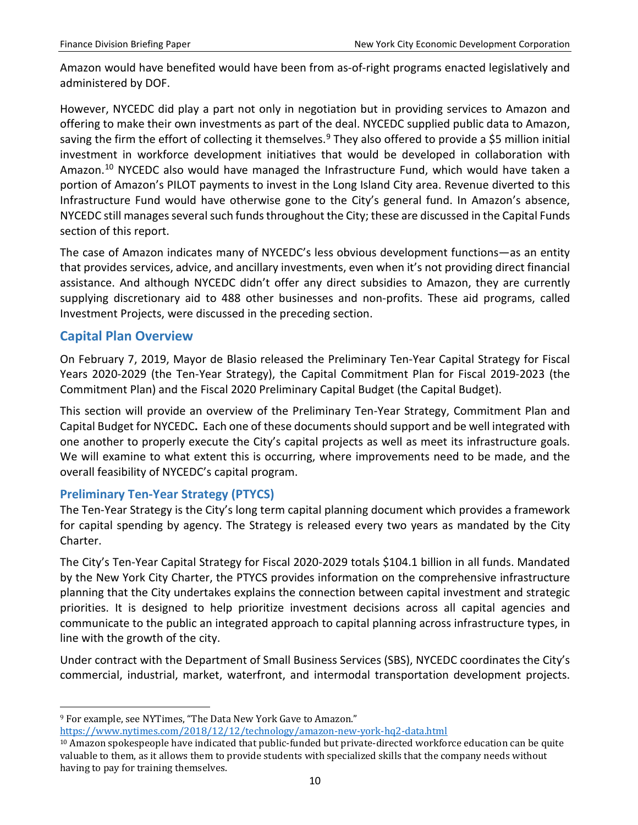Amazon would have benefited would have been from as-of-right programs enacted legislatively and administered by DOF.

However, NYCEDC did play a part not only in negotiation but in providing services to Amazon and offering to make their own investments as part of the deal. NYCEDC supplied public data to Amazon, saving the firm the effort of collecting it themselves.<sup>[9](#page-11-2)</sup> They also offered to provide a \$5 million initial investment in workforce development initiatives that would be developed in collaboration with Amazon.<sup>[10](#page-11-3)</sup> NYCEDC also would have managed the Infrastructure Fund, which would have taken a portion of Amazon's PILOT payments to invest in the Long Island City area. Revenue diverted to this Infrastructure Fund would have otherwise gone to the City's general fund. In Amazon's absence, NYCEDC still manages several such funds throughout the City; these are discussed in the Capital Funds section of this report.

The case of Amazon indicates many of NYCEDC's less obvious development functions—as an entity that provides services, advice, and ancillary investments, even when it's not providing direct financial assistance. And although NYCEDC didn't offer any direct subsidies to Amazon, they are currently supplying discretionary aid to 488 other businesses and non-profits. These aid programs, called Investment Projects, were discussed in the preceding section.

# <span id="page-11-0"></span>**Capital Plan Overview**

On February 7, 2019, Mayor de Blasio released the Preliminary Ten-Year Capital Strategy for Fiscal Years 2020-2029 (the Ten-Year Strategy), the Capital Commitment Plan for Fiscal 2019-2023 (the Commitment Plan) and the Fiscal 2020 Preliminary Capital Budget (the Capital Budget).

This section will provide an overview of the Preliminary Ten-Year Strategy, Commitment Plan and Capital Budget for NYCEDC**.** Each one of these documents should support and be well integrated with one another to properly execute the City's capital projects as well as meet its infrastructure goals. We will examine to what extent this is occurring, where improvements need to be made, and the overall feasibility of NYCEDC's capital program.

# <span id="page-11-1"></span>**Preliminary Ten-Year Strategy (PTYCS)**

The Ten-Year Strategy is the City's long term capital planning document which provides a framework for capital spending by agency. The Strategy is released every two years as mandated by the City Charter.

The City's Ten-Year Capital Strategy for Fiscal 2020-2029 totals \$104.1 billion in all funds. Mandated by the New York City Charter, the PTYCS provides information on the comprehensive infrastructure planning that the City undertakes explains the connection between capital investment and strategic priorities. It is designed to help prioritize investment decisions across all capital agencies and communicate to the public an integrated approach to capital planning across infrastructure types, in line with the growth of the city.

Under contract with the Department of Small Business Services (SBS), NYCEDC coordinates the City's commercial, industrial, market, waterfront, and intermodal transportation development projects.

<span id="page-11-2"></span> <sup>9</sup> For example, see NYTimes, "The Data New York Gave to Amazon." <https://www.nytimes.com/2018/12/12/technology/amazon-new-york-hq2-data.html>

<span id="page-11-3"></span><sup>10</sup> Amazon spokespeople have indicated that public-funded but private-directed workforce education can be quite valuable to them, as it allows them to provide students with specialized skills that the company needs without having to pay for training themselves.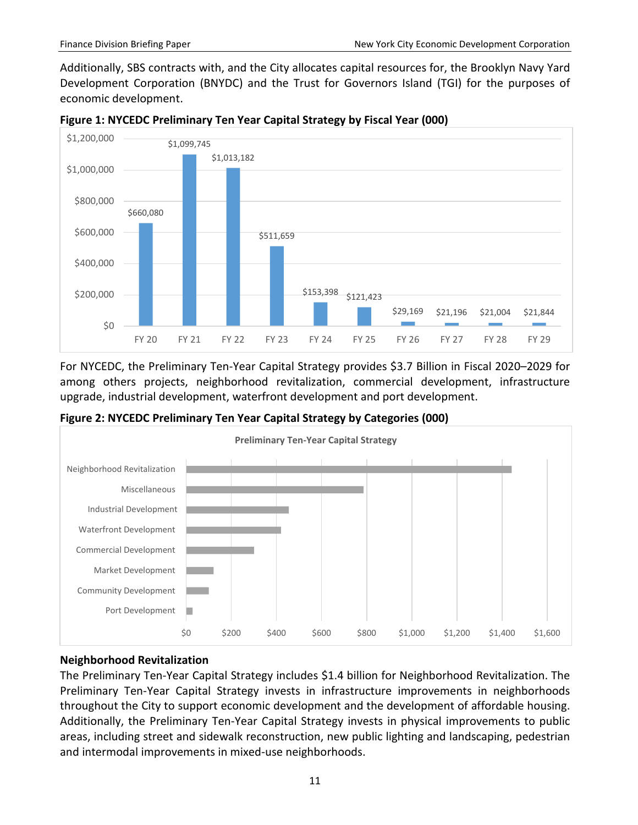Additionally, SBS contracts with, and the City allocates capital resources for, the Brooklyn Navy Yard Development Corporation (BNYDC) and the Trust for Governors Island (TGI) for the purposes of economic development.



**Figure 1: NYCEDC Preliminary Ten Year Capital Strategy by Fiscal Year (000)**

For NYCEDC, the Preliminary Ten-Year Capital Strategy provides \$3.7 Billion in Fiscal 2020–2029 for among others projects, neighborhood revitalization, commercial development, infrastructure upgrade, industrial development, waterfront development and port development.





# **Neighborhood Revitalization**

The Preliminary Ten-Year Capital Strategy includes \$1.4 billion for Neighborhood Revitalization. The Preliminary Ten-Year Capital Strategy invests in infrastructure improvements in neighborhoods throughout the City to support economic development and the development of affordable housing. Additionally, the Preliminary Ten-Year Capital Strategy invests in physical improvements to public areas, including street and sidewalk reconstruction, new public lighting and landscaping, pedestrian and intermodal improvements in mixed-use neighborhoods.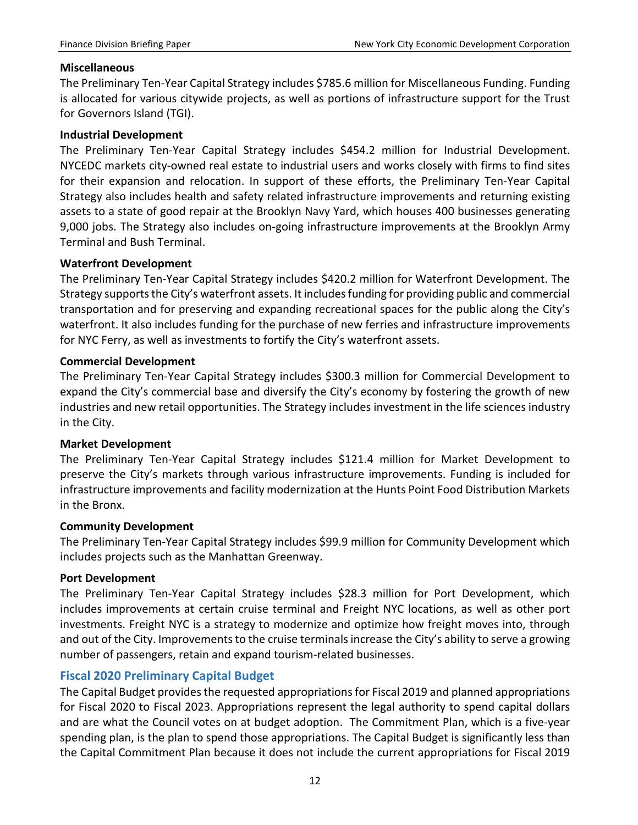#### **Miscellaneous**

The Preliminary Ten-Year Capital Strategy includes \$785.6 million for Miscellaneous Funding. Funding is allocated for various citywide projects, as well as portions of infrastructure support for the Trust for Governors Island (TGI).

#### **Industrial Development**

The Preliminary Ten-Year Capital Strategy includes \$454.2 million for Industrial Development. NYCEDC markets city-owned real estate to industrial users and works closely with firms to find sites for their expansion and relocation. In support of these efforts, the Preliminary Ten-Year Capital Strategy also includes health and safety related infrastructure improvements and returning existing assets to a state of good repair at the Brooklyn Navy Yard, which houses 400 businesses generating 9,000 jobs. The Strategy also includes on-going infrastructure improvements at the Brooklyn Army Terminal and Bush Terminal.

#### **Waterfront Development**

The Preliminary Ten-Year Capital Strategy includes \$420.2 million for Waterfront Development. The Strategy supports the City's waterfront assets. It includes funding for providing public and commercial transportation and for preserving and expanding recreational spaces for the public along the City's waterfront. It also includes funding for the purchase of new ferries and infrastructure improvements for NYC Ferry, as well as investments to fortify the City's waterfront assets.

#### **Commercial Development**

The Preliminary Ten-Year Capital Strategy includes \$300.3 million for Commercial Development to expand the City's commercial base and diversify the City's economy by fostering the growth of new industries and new retail opportunities. The Strategy includes investment in the life sciences industry in the City.

#### **Market Development**

The Preliminary Ten-Year Capital Strategy includes \$121.4 million for Market Development to preserve the City's markets through various infrastructure improvements. Funding is included for infrastructure improvements and facility modernization at the Hunts Point Food Distribution Markets in the Bronx.

#### **Community Development**

The Preliminary Ten-Year Capital Strategy includes \$99.9 million for Community Development which includes projects such as the Manhattan Greenway.

#### **Port Development**

The Preliminary Ten-Year Capital Strategy includes \$28.3 million for Port Development, which includes improvements at certain cruise terminal and Freight NYC locations, as well as other port investments. Freight NYC is a strategy to modernize and optimize how freight moves into, through and out of the City. Improvements to the cruise terminals increase the City's ability to serve a growing number of passengers, retain and expand tourism-related businesses.

# <span id="page-13-0"></span>**Fiscal 2020 Preliminary Capital Budget**

The Capital Budget provides the requested appropriations for Fiscal 2019 and planned appropriations for Fiscal 2020 to Fiscal 2023. Appropriations represent the legal authority to spend capital dollars and are what the Council votes on at budget adoption. The Commitment Plan, which is a five-year spending plan, is the plan to spend those appropriations. The Capital Budget is significantly less than the Capital Commitment Plan because it does not include the current appropriations for Fiscal 2019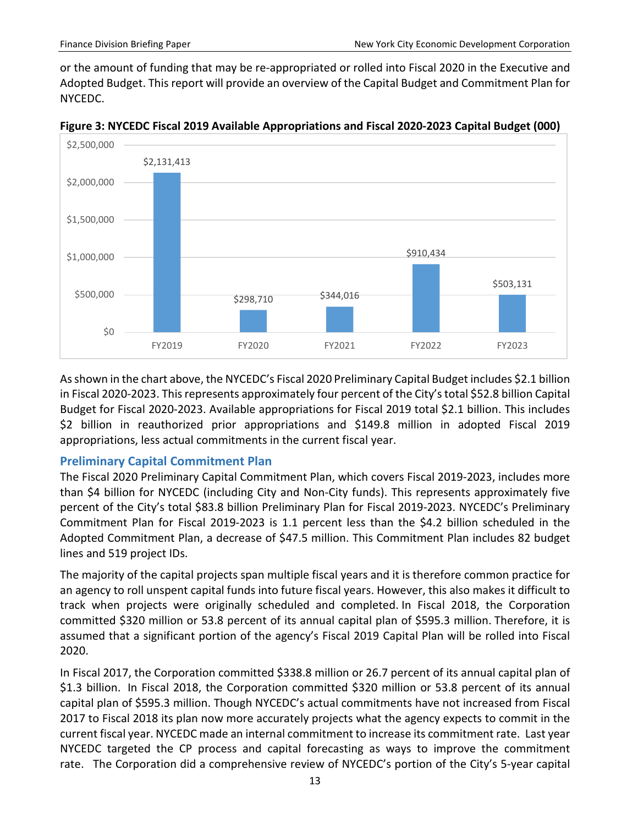or the amount of funding that may be re-appropriated or rolled into Fiscal 2020 in the Executive and Adopted Budget. This report will provide an overview of the Capital Budget and Commitment Plan for NYCEDC.



**Figure 3: NYCEDC Fiscal 2019 Available Appropriations and Fiscal 2020-2023 Capital Budget (000)**

As shown in the chart above, the NYCEDC's Fiscal 2020 Preliminary Capital Budget includes \$2.1 billion in Fiscal 2020-2023. This represents approximately four percent of the City's total \$52.8 billion Capital Budget for Fiscal 2020-2023. Available appropriations for Fiscal 2019 total \$2.1 billion. This includes \$2 billion in reauthorized prior appropriations and \$149.8 million in adopted Fiscal 2019 appropriations, less actual commitments in the current fiscal year.

#### <span id="page-14-0"></span>**Preliminary Capital Commitment Plan**

The Fiscal 2020 Preliminary Capital Commitment Plan, which covers Fiscal 2019-2023, includes more than \$4 billion for NYCEDC (including City and Non-City funds). This represents approximately five percent of the City's total \$83.8 billion Preliminary Plan for Fiscal 2019-2023. NYCEDC's Preliminary Commitment Plan for Fiscal 2019-2023 is 1.1 percent less than the \$4.2 billion scheduled in the Adopted Commitment Plan, a decrease of \$47.5 million. This Commitment Plan includes 82 budget lines and 519 project IDs.

The majority of the capital projects span multiple fiscal years and it is therefore common practice for an agency to roll unspent capital funds into future fiscal years. However, this also makes it difficult to track when projects were originally scheduled and completed. In Fiscal 2018, the Corporation committed \$320 million or 53.8 percent of its annual capital plan of \$595.3 million. Therefore, it is assumed that a significant portion of the agency's Fiscal 2019 Capital Plan will be rolled into Fiscal 2020.

In Fiscal 2017, the Corporation committed \$338.8 million or 26.7 percent of its annual capital plan of \$1.3 billion. In Fiscal 2018, the Corporation committed \$320 million or 53.8 percent of its annual capital plan of \$595.3 million. Though NYCEDC's actual commitments have not increased from Fiscal 2017 to Fiscal 2018 its plan now more accurately projects what the agency expects to commit in the current fiscal year. NYCEDC made an internal commitment to increase its commitment rate. Last year NYCEDC targeted the CP process and capital forecasting as ways to improve the commitment rate. The Corporation did a comprehensive review of NYCEDC's portion of the City's 5-year capital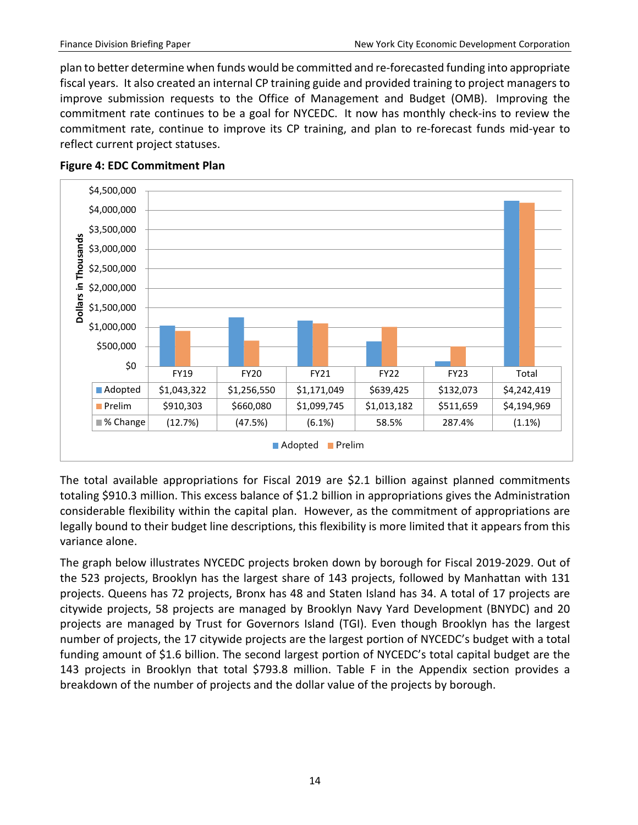plan to better determine when funds would be committed and re-forecasted funding into appropriate fiscal years. It also created an internal CP training guide and provided training to project managers to improve submission requests to the Office of Management and Budget (OMB). Improving the commitment rate continues to be a goal for NYCEDC. It now has monthly check-ins to review the commitment rate, continue to improve its CP training, and plan to re-forecast funds mid-year to reflect current project statuses.



#### **Figure 4: EDC Commitment Plan**

The total available appropriations for Fiscal 2019 are \$2.1 billion against planned commitments totaling \$910.3 million. This excess balance of \$1.2 billion in appropriations gives the Administration considerable flexibility within the capital plan. However, as the commitment of appropriations are legally bound to their budget line descriptions, this flexibility is more limited that it appears from this variance alone.

The graph below illustrates NYCEDC projects broken down by borough for Fiscal 2019-2029. Out of the 523 projects, Brooklyn has the largest share of 143 projects, followed by Manhattan with 131 projects. Queens has 72 projects, Bronx has 48 and Staten Island has 34. A total of 17 projects are citywide projects, 58 projects are managed by Brooklyn Navy Yard Development (BNYDC) and 20 projects are managed by Trust for Governors Island (TGI). Even though Brooklyn has the largest number of projects, the 17 citywide projects are the largest portion of NYCEDC's budget with a total funding amount of \$1.6 billion. The second largest portion of NYCEDC's total capital budget are the 143 projects in Brooklyn that total \$793.8 million. Table F in the Appendix section provides a breakdown of the number of projects and the dollar value of the projects by borough.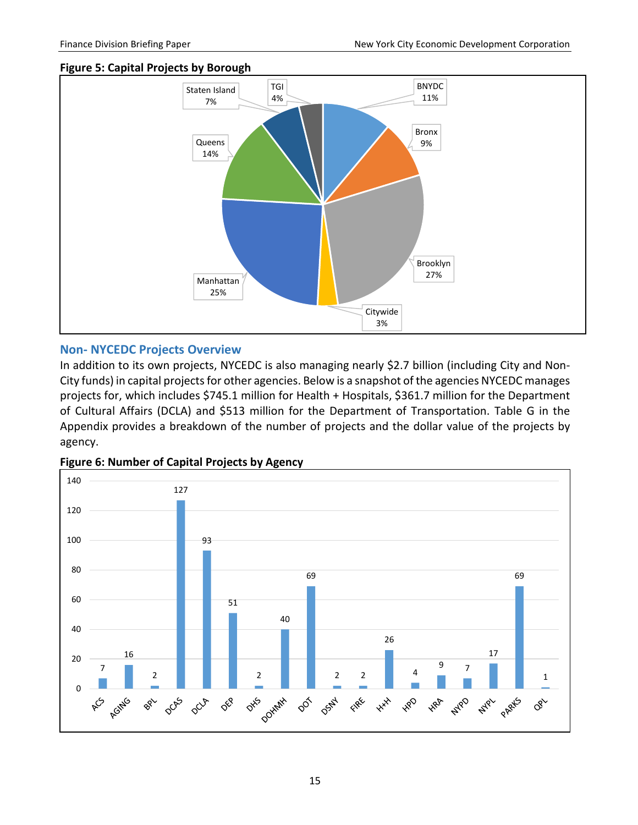#### **Figure 5: Capital Projects by Borough**



#### <span id="page-16-0"></span>**Non- NYCEDC Projects Overview**

In addition to its own projects, NYCEDC is also managing nearly \$2.7 billion (including City and Non-City funds) in capital projects for other agencies. Below is a snapshot of the agencies NYCEDC manages projects for, which includes \$745.1 million for Health + Hospitals, \$361.7 million for the Department of Cultural Affairs (DCLA) and \$513 million for the Department of Transportation. Table G in the Appendix provides a breakdown of the number of projects and the dollar value of the projects by agency.



#### **Figure 6: Number of Capital Projects by Agency**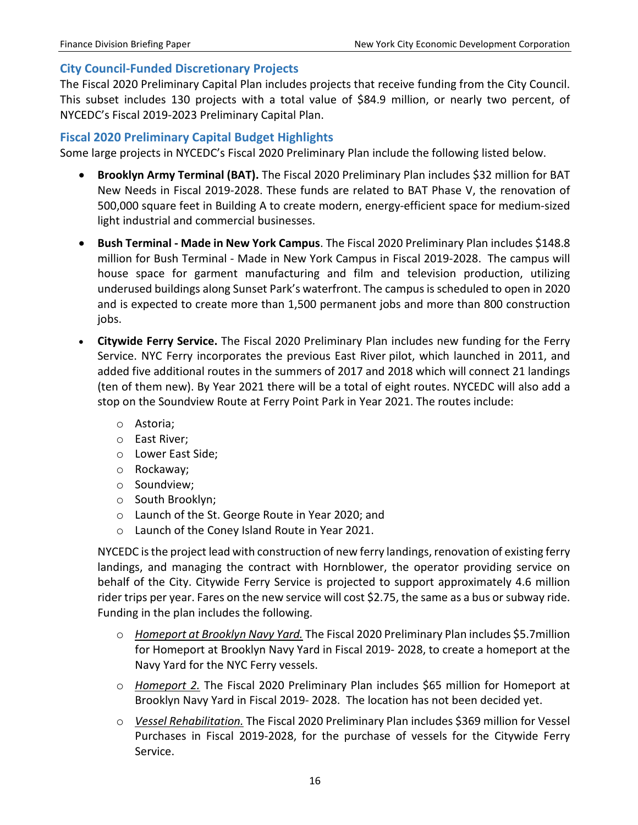#### <span id="page-17-0"></span>**City Council-Funded Discretionary Projects**

The Fiscal 2020 Preliminary Capital Plan includes projects that receive funding from the City Council. This subset includes 130 projects with a total value of \$84.9 million, or nearly two percent, of NYCEDC's Fiscal 2019-2023 Preliminary Capital Plan.

#### <span id="page-17-1"></span>**Fiscal 2020 Preliminary Capital Budget Highlights**

Some large projects in NYCEDC's Fiscal 2020 Preliminary Plan include the following listed below.

- **Brooklyn Army Terminal (BAT).** The Fiscal 2020 Preliminary Plan includes \$32 million for BAT New Needs in Fiscal 2019-2028. These funds are related to BAT Phase V, the renovation of 500,000 square feet in Building A to create modern, energy-efficient space for medium-sized light industrial and commercial businesses.
- **Bush Terminal - Made in New York Campus**. The Fiscal 2020 Preliminary Plan includes \$148.8 million for Bush Terminal - Made in New York Campus in Fiscal 2019-2028. The campus will house space for garment manufacturing and film and television production, utilizing underused buildings along Sunset Park's waterfront. The campus is scheduled to open in 2020 and is expected to create more than 1,500 permanent jobs and more than 800 construction jobs.
- **Citywide Ferry Service.** The Fiscal 2020 Preliminary Plan includes new funding for the Ferry Service. NYC Ferry incorporates the previous East River pilot, which launched in 2011, and added five additional routes in the summers of 2017 and 2018 which will connect 21 landings (ten of them new). By Year 2021 there will be a total of eight routes. NYCEDC will also add a stop on the Soundview Route at Ferry Point Park in Year 2021. The routes include:
	- o Astoria;
	- o East River;
	- o Lower East Side;
	- o Rockaway;
	- o Soundview;
	- o South Brooklyn;
	- o Launch of the St. George Route in Year 2020; and
	- o Launch of the Coney Island Route in Year 2021.

NYCEDC isthe project lead with construction of new ferry landings, renovation of existing ferry landings, and managing the contract with Hornblower, the operator providing service on behalf of the City. Citywide Ferry Service is projected to support approximately 4.6 million rider trips per year. Fares on the new service will cost \$2.75, the same as a bus or subway ride. Funding in the plan includes the following.

- o *Homeport at Brooklyn Navy Yard.* The Fiscal 2020 Preliminary Plan includes \$5.7million for Homeport at Brooklyn Navy Yard in Fiscal 2019- 2028, to create a homeport at the Navy Yard for the NYC Ferry vessels.
- o *Homeport 2.* The Fiscal 2020 Preliminary Plan includes \$65 million for Homeport at Brooklyn Navy Yard in Fiscal 2019- 2028. The location has not been decided yet.
- o *Vessel Rehabilitation.* The Fiscal 2020 Preliminary Plan includes \$369 million for Vessel Purchases in Fiscal 2019-2028, for the purchase of vessels for the Citywide Ferry Service.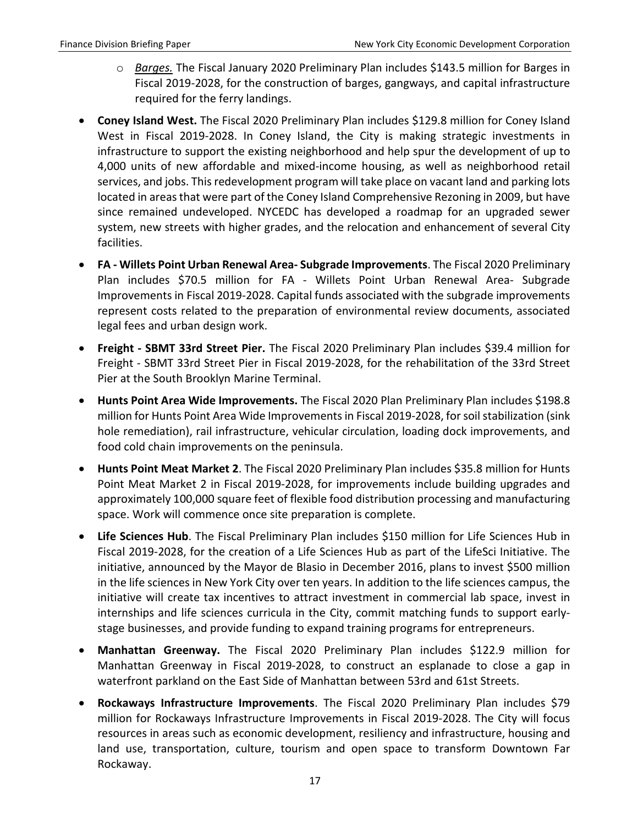- o *Barges.* The Fiscal January 2020 Preliminary Plan includes \$143.5 million for Barges in Fiscal 2019-2028, for the construction of barges, gangways, and capital infrastructure required for the ferry landings.
- **Coney Island West.** The Fiscal 2020 Preliminary Plan includes \$129.8 million for Coney Island West in Fiscal 2019-2028. In Coney Island, the City is making strategic investments in infrastructure to support the existing neighborhood and help spur the development of up to 4,000 units of new affordable and mixed-income housing, as well as neighborhood retail services, and jobs. This redevelopment program will take place on vacant land and parking lots located in areas that were part of the Coney Island Comprehensive Rezoning in 2009, but have since remained undeveloped. NYCEDC has developed a roadmap for an upgraded sewer system, new streets with higher grades, and the relocation and enhancement of several City facilities.
- **FA - Willets Point Urban Renewal Area- Subgrade Improvements**. The Fiscal 2020 Preliminary Plan includes \$70.5 million for FA - Willets Point Urban Renewal Area- Subgrade Improvements in Fiscal 2019-2028. Capital funds associated with the subgrade improvements represent costs related to the preparation of environmental review documents, associated legal fees and urban design work.
- **Freight - SBMT 33rd Street Pier.** The Fiscal 2020 Preliminary Plan includes \$39.4 million for Freight - SBMT 33rd Street Pier in Fiscal 2019-2028, for the rehabilitation of the 33rd Street Pier at the South Brooklyn Marine Terminal.
- **Hunts Point Area Wide Improvements.** The Fiscal 2020 Plan Preliminary Plan includes \$198.8 million for Hunts Point Area Wide Improvements in Fiscal 2019-2028, for soil stabilization (sink hole remediation), rail infrastructure, vehicular circulation, loading dock improvements, and food cold chain improvements on the peninsula.
- **Hunts Point Meat Market 2**. The Fiscal 2020 Preliminary Plan includes \$35.8 million for Hunts Point Meat Market 2 in Fiscal 2019-2028, for improvements include building upgrades and approximately 100,000 square feet of flexible food distribution processing and manufacturing space. Work will commence once site preparation is complete.
- **Life Sciences Hub**. The Fiscal Preliminary Plan includes \$150 million for Life Sciences Hub in Fiscal 2019-2028, for the creation of a Life Sciences Hub as part of the LifeSci Initiative. The initiative, announced by the Mayor de Blasio in December 2016, plans to invest \$500 million in the life sciences in New York City over ten years. In addition to the life sciences campus, the initiative will create tax incentives to attract investment in commercial lab space, invest in internships and life sciences curricula in the City, commit matching funds to support earlystage businesses, and provide funding to expand training programs for entrepreneurs.
- **Manhattan Greenway.** The Fiscal 2020 Preliminary Plan includes \$122.9 million for Manhattan Greenway in Fiscal 2019-2028, to construct an esplanade to close a gap in waterfront parkland on the East Side of Manhattan between 53rd and 61st Streets.
- **Rockaways Infrastructure Improvements**. The Fiscal 2020 Preliminary Plan includes \$79 million for Rockaways Infrastructure Improvements in Fiscal 2019-2028. The City will focus resources in areas such as economic development, resiliency and infrastructure, housing and land use, transportation, culture, tourism and open space to transform Downtown Far Rockaway.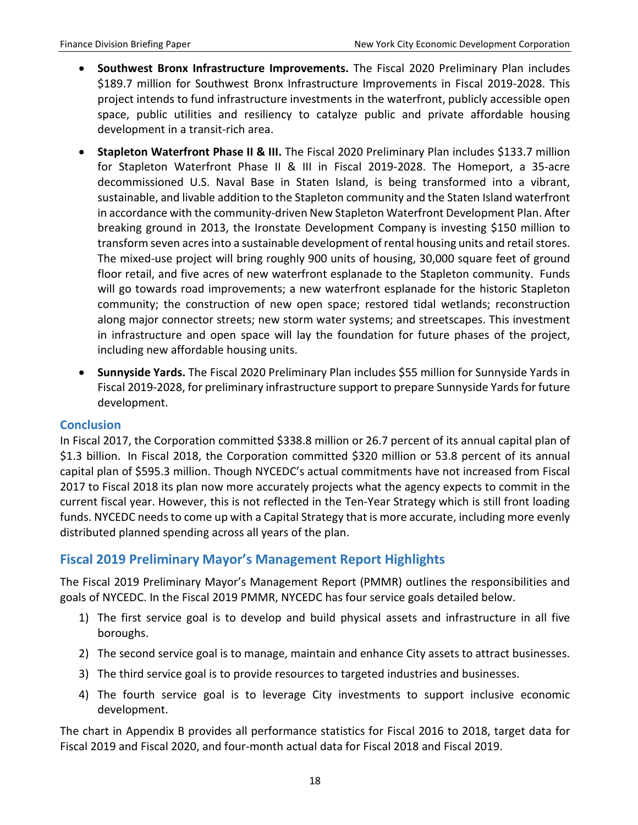- **Southwest Bronx Infrastructure Improvements.** The Fiscal 2020 Preliminary Plan includes \$189.7 million for Southwest Bronx Infrastructure Improvements in Fiscal 2019-2028. This project intends to fund infrastructure investments in the waterfront, publicly accessible open space, public utilities and resiliency to catalyze public and private affordable housing development in a transit-rich area.
- **Stapleton Waterfront Phase II & III.** The Fiscal 2020 Preliminary Plan includes \$133.7 million for Stapleton Waterfront Phase II & III in Fiscal 2019-2028. The Homeport, a 35-acre decommissioned U.S. Naval Base in Staten Island, is being transformed into a vibrant, sustainable, and livable addition to the Stapleton community and the Staten Island waterfront in accordance with the community-driven New Stapleton Waterfront Development Plan. After breaking ground in 2013, the Ironstate Development Company is investing \$150 million to transform seven acres into a sustainable development of rental housing units and retail stores. The mixed-use project will bring roughly 900 units of housing, 30,000 square feet of ground floor retail, and five acres of new waterfront esplanade to the Stapleton community. Funds will go towards road improvements; a new waterfront esplanade for the historic Stapleton community; the construction of new open space; restored tidal wetlands; reconstruction along major connector streets; new storm water systems; and streetscapes. This investment in infrastructure and open space will lay the foundation for future phases of the project, including new affordable housing units.
- **Sunnyside Yards.** The Fiscal 2020 Preliminary Plan includes \$55 million for Sunnyside Yards in Fiscal 2019-2028, for preliminary infrastructure support to prepare Sunnyside Yards for future development.

#### <span id="page-19-0"></span>**Conclusion**

In Fiscal 2017, the Corporation committed \$338.8 million or 26.7 percent of its annual capital plan of \$1.3 billion. In Fiscal 2018, the Corporation committed \$320 million or 53.8 percent of its annual capital plan of \$595.3 million. Though NYCEDC's actual commitments have not increased from Fiscal 2017 to Fiscal 2018 its plan now more accurately projects what the agency expects to commit in the current fiscal year. However, this is not reflected in the Ten-Year Strategy which is still front loading funds. NYCEDC needs to come up with a Capital Strategy that is more accurate, including more evenly distributed planned spending across all years of the plan.

# <span id="page-19-1"></span>**Fiscal 2019 Preliminary Mayor's Management Report Highlights**

The Fiscal 2019 Preliminary Mayor's Management Report (PMMR) outlines the responsibilities and goals of NYCEDC. In the Fiscal 2019 PMMR, NYCEDC has four service goals detailed below.

- 1) The first service goal is to develop and build physical assets and infrastructure in all five boroughs.
- 2) The second service goal is to manage, maintain and enhance City assets to attract businesses.
- 3) The third service goal is to provide resources to targeted industries and businesses.
- 4) The fourth service goal is to leverage City investments to support inclusive economic development.

The chart in Appendix B provides all performance statistics for Fiscal 2016 to 2018, target data for Fiscal 2019 and Fiscal 2020, and four-month actual data for Fiscal 2018 and Fiscal 2019.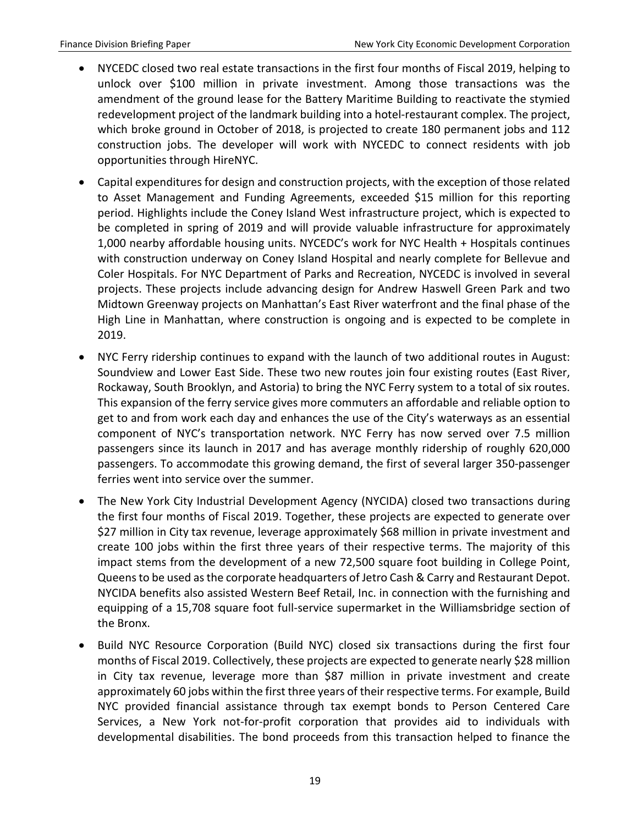- NYCEDC closed two real estate transactions in the first four months of Fiscal 2019, helping to unlock over \$100 million in private investment. Among those transactions was the amendment of the ground lease for the Battery Maritime Building to reactivate the stymied redevelopment project of the landmark building into a hotel-restaurant complex. The project, which broke ground in October of 2018, is projected to create 180 permanent jobs and 112 construction jobs. The developer will work with NYCEDC to connect residents with job opportunities through HireNYC.
- Capital expenditures for design and construction projects, with the exception of those related to Asset Management and Funding Agreements, exceeded \$15 million for this reporting period. Highlights include the Coney Island West infrastructure project, which is expected to be completed in spring of 2019 and will provide valuable infrastructure for approximately 1,000 nearby affordable housing units. NYCEDC's work for NYC Health + Hospitals continues with construction underway on Coney Island Hospital and nearly complete for Bellevue and Coler Hospitals. For NYC Department of Parks and Recreation, NYCEDC is involved in several projects. These projects include advancing design for Andrew Haswell Green Park and two Midtown Greenway projects on Manhattan's East River waterfront and the final phase of the High Line in Manhattan, where construction is ongoing and is expected to be complete in 2019.
- NYC Ferry ridership continues to expand with the launch of two additional routes in August: Soundview and Lower East Side. These two new routes join four existing routes (East River, Rockaway, South Brooklyn, and Astoria) to bring the NYC Ferry system to a total of six routes. This expansion of the ferry service gives more commuters an affordable and reliable option to get to and from work each day and enhances the use of the City's waterways as an essential component of NYC's transportation network. NYC Ferry has now served over 7.5 million passengers since its launch in 2017 and has average monthly ridership of roughly 620,000 passengers. To accommodate this growing demand, the first of several larger 350-passenger ferries went into service over the summer.
- The New York City Industrial Development Agency (NYCIDA) closed two transactions during the first four months of Fiscal 2019. Together, these projects are expected to generate over \$27 million in City tax revenue, leverage approximately \$68 million in private investment and create 100 jobs within the first three years of their respective terms. The majority of this impact stems from the development of a new 72,500 square foot building in College Point, Queens to be used as the corporate headquarters of Jetro Cash & Carry and Restaurant Depot. NYCIDA benefits also assisted Western Beef Retail, Inc. in connection with the furnishing and equipping of a 15,708 square foot full-service supermarket in the Williamsbridge section of the Bronx.
- Build NYC Resource Corporation (Build NYC) closed six transactions during the first four months of Fiscal 2019. Collectively, these projects are expected to generate nearly \$28 million in City tax revenue, leverage more than \$87 million in private investment and create approximately 60 jobs within the first three years of their respective terms. For example, Build NYC provided financial assistance through tax exempt bonds to Person Centered Care Services, a New York not-for-profit corporation that provides aid to individuals with developmental disabilities. The bond proceeds from this transaction helped to finance the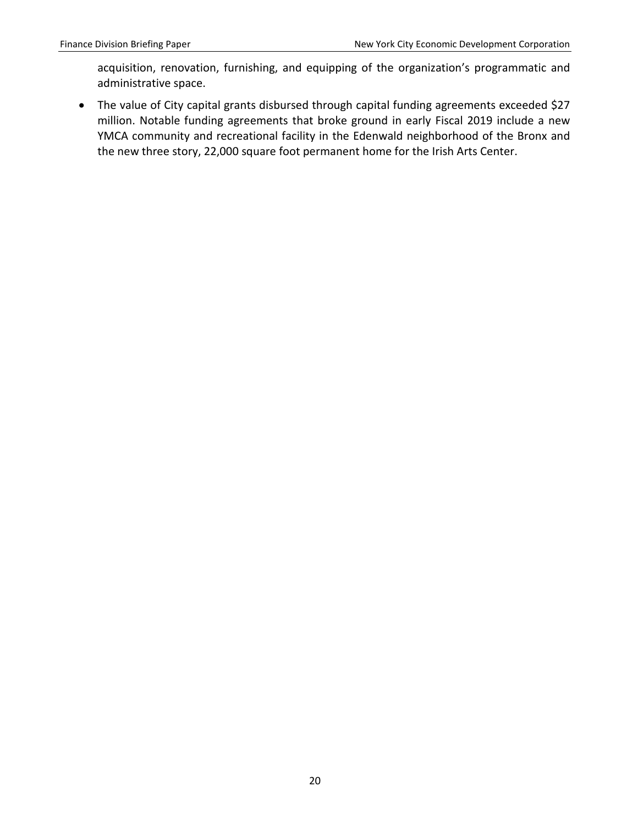acquisition, renovation, furnishing, and equipping of the organization's programmatic and administrative space.

• The value of City capital grants disbursed through capital funding agreements exceeded \$27 million. Notable funding agreements that broke ground in early Fiscal 2019 include a new YMCA community and recreational facility in the Edenwald neighborhood of the Bronx and the new three story, 22,000 square foot permanent home for the Irish Arts Center.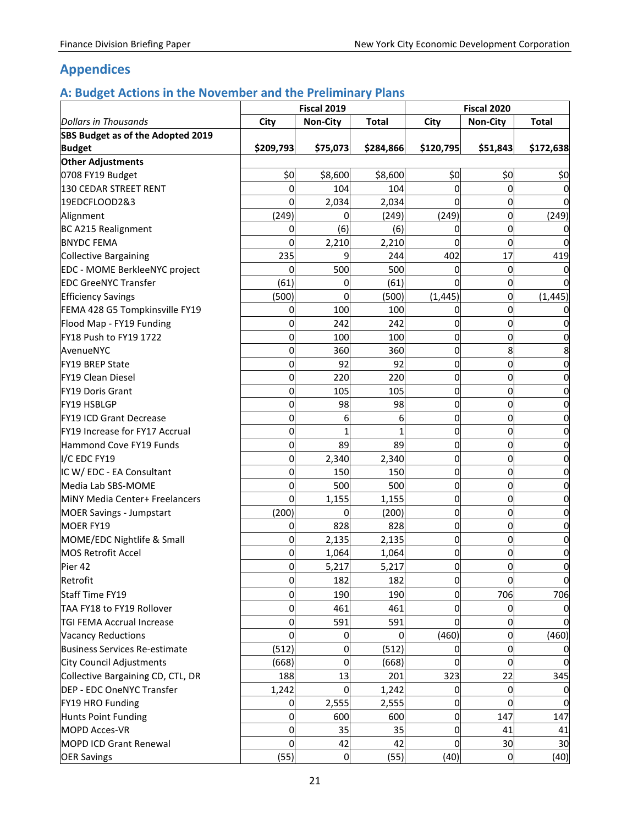# <span id="page-22-0"></span>**Appendices**

# <span id="page-22-1"></span>**A: Budget Actions in the November and the Preliminary Plans**

|                                   | <b>Fiscal 2019</b> |                 | Fiscal 2020  |             |                 |              |
|-----------------------------------|--------------------|-----------------|--------------|-------------|-----------------|--------------|
| <b>Dollars in Thousands</b>       | City               | <b>Non-City</b> | <b>Total</b> | City        | <b>Non-City</b> | <b>Total</b> |
| SBS Budget as of the Adopted 2019 |                    |                 |              |             |                 |              |
| <b>Budget</b>                     | \$209,793          | \$75,073        | \$284,866    | \$120,795   | \$51,843        | \$172,638    |
| Other Adjustments                 |                    |                 |              |             |                 |              |
| 0708 FY19 Budget                  | \$0                | \$8,600         | \$8,600      | \$0         | \$0             | \$0          |
| 130 CEDAR STREET RENT             | 0                  | 104             | 104          | 0           | 0               |              |
| 19EDCFLOOD2&3                     | 0                  | 2,034           | 2,034        | $\Omega$    | 0               |              |
| Alignment                         | (249)              | 0               | (249)        | (249)       | 0               | (249)        |
| BC A215 Realignment               | 0                  | (6)             | (6)          | 0           | 0               |              |
| <b>BNYDC FEMA</b>                 | $\Omega$           | 2,210           | 2,210        | $\Omega$    | 0               |              |
| Collective Bargaining             | 235                | q               | 244          | 402         | 17              | 419          |
| EDC - MOME BerkleeNYC project     | 0                  | 500             | 500          | 0           | 0               |              |
| <b>EDC GreeNYC Transfer</b>       | (61)               | 0               | (61)         | 0           | 0               |              |
| <b>Efficiency Savings</b>         | (500)              | 0               | (500)        | (1, 445)    | 0               | (1, 445)     |
| FEMA 428 G5 Tompkinsville FY19    | 0                  | 100             | 100          | 0           | 0               |              |
| Flood Map - FY19 Funding          | 0                  | 242             | 242          | 0           | $\Omega$        |              |
| FY18 Push to FY19 1722            | 0                  | 100             | 100          | 0           | 0               |              |
| AvenueNYC                         | 0                  | 360             | 360          | 0           | 8               |              |
| <b>FY19 BREP State</b>            | 0                  | 92              | 92           | 0           | $\Omega$        | 0            |
| FY19 Clean Diesel                 | 0                  | 220             | 220          | 0           | 0               |              |
| FY19 Doris Grant                  | 0                  | 105             | 105          | 0           | 0               |              |
| <b>FY19 HSBLGP</b>                | 0                  | 98              | 98           | 0           | 0               |              |
| FY19 ICD Grant Decrease           | 0                  | 6               | 6            | 0           | 0               | 0            |
| FY19 Increase for FY17 Accrual    | $\mathbf 0$        |                 |              | 0           | 0               |              |
| Hammond Cove FY19 Funds           | 0                  | 89              | 89           | 0           | 0               | 0            |
| I/C EDC FY19                      | 0                  | 2,340           | 2,340        | $\mathbf 0$ | 0               | 0            |
| IC W/ EDC - EA Consultant         | 0                  | 150             | 150          | 0           | 0               | 0            |
| Media Lab SBS-MOME                | 0                  | 500             | 500          | 0           | 0               | 0            |
| MINY Media Center+ Freelancers    | $\mathbf 0$        | 1,155           | 1,155        | 0           | $\Omega$        | 0            |
| <b>MOER Savings - Jumpstart</b>   | (200)              | 0               | (200)        | 0           | 0               |              |
| MOER FY19                         | 0                  | 828             | 828          | 0           | 0               |              |
| MOME/EDC Nightlife & Small        | 0                  | 2,135           | 2,135        | 0           | $\Omega$        | 0            |
| <b>MOS Retrofit Accel</b>         | 0                  | 1,064           | 1,064        | 0           | 0               | 0            |
| Pier 42                           | $\Omega$           | 5,217           | 5,217        | $\Omega$    | $\Omega$        |              |
| Retrofit                          | 0                  | 182             | 182          | 0           | $\Omega$        | 0            |
| Staff Time FY19                   | 0                  | 190             | 190          | 0           | 706             | 706          |
| TAA FY18 to FY19 Rollover         | 0                  | 461             | 461          | 0           | 0               |              |
| <b>TGI FEMA Accrual Increase</b>  | 0                  | 591             | 591          | $\mathbf 0$ | 0               |              |
| <b>Vacancy Reductions</b>         | $\overline{0}$     | 0               | 0            | (460)       | $\Omega$        | (460)        |
| Business Services Re-estimate     | (512)              | 0               | (512)        | $\Omega$    | $\overline{0}$  | 0            |
| City Council Adjustments          | (668)              | $\mathbf 0$     | (668)        | $\Omega$    | $\Omega$        |              |
| Collective Bargaining CD, CTL, DR | 188                | 13              | 201          | 323         | 22              | 345          |
| DEP - EDC OneNYC Transfer         | 1,242              | 0               | 1,242        | 0           | 0               |              |
| FY19 HRO Funding                  | 0                  | 2,555           | 2,555        | 0           | 0               |              |
| Hunts Point Funding               | 0                  | 600             | 600          | 0           | 147             | 147          |
| <b>MOPD Acces-VR</b>              | 0                  | 35              | 35           | $\Omega$    | 41              | 41           |
| <b>MOPD ICD Grant Renewal</b>     | 0                  | 42              | 42           | $\Omega$    | 30              | 30           |
| <b>OER Savings</b>                | (55)               | $\overline{0}$  | (55)         | (40)        | $\overline{0}$  | (40)         |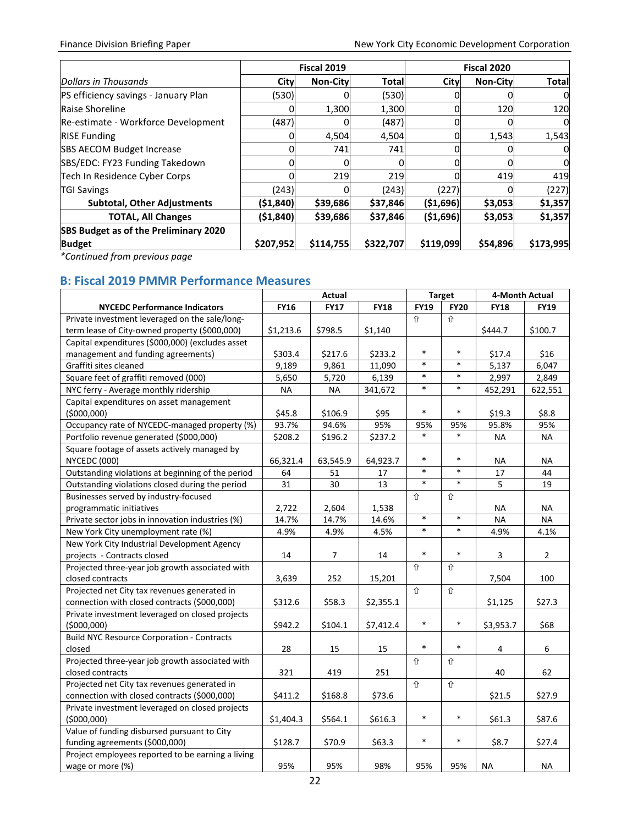|                                       | Fiscal 2019 |                 | <b>Fiscal 2020</b> |            |                 |              |
|---------------------------------------|-------------|-----------------|--------------------|------------|-----------------|--------------|
| Dollars in Thousands                  | City        | <b>Non-City</b> | <b>Total</b>       | City       | <b>Non-City</b> | <b>Total</b> |
| PS efficiency savings - January Plan  | (530)       |                 | (530)              |            |                 | 0            |
| Raise Shoreline                       |             | 1,300           | 1,300              | 0          | 120             | 120          |
| Re-estimate - Workforce Development   | (487)       | 01              | (487)              | 0          | O               | 0            |
| <b>RISE Funding</b>                   |             | 4,504           | 4,504              | 0          | 1,543           | 1,543        |
| <b>SBS AECOM Budget Increase</b>      |             | 741             | 741                |            |                 | 0            |
| SBS/EDC: FY23 Funding Takedown        | ი           | 0l              | 0                  | 0          | N               | 0            |
| Tech In Residence Cyber Corps         |             | 219             | 219                |            | 419             | 419          |
| <b>TGI Savings</b>                    | (243)       |                 | (243)              | (227)      |                 | (227)        |
| <b>Subtotal, Other Adjustments</b>    | ( \$1, 840) | \$39,686        | \$37,846           | ( \$1,696) | \$3,053         | \$1,357      |
| <b>TOTAL, All Changes</b>             | (\$1,840)   | \$39,686        | \$37,846           | ( \$1,696) | \$3,053         | \$1,357      |
| SBS Budget as of the Preliminary 2020 |             |                 |                    |            |                 |              |
| <b>Budget</b>                         | \$207,952   | \$114,755       | \$322,707          | \$119,099  | \$54,896        | \$173,995    |

*\*Continued from previous page*

# <span id="page-23-0"></span>**B: Fiscal 2019 PMMR Performance Measures**

|                                                   | Actual      |             |             | <b>Target</b> | 4-Month Actual |             |                |
|---------------------------------------------------|-------------|-------------|-------------|---------------|----------------|-------------|----------------|
| <b>NYCEDC Performance Indicators</b>              | <b>FY16</b> | <b>FY17</b> | <b>FY18</b> | <b>FY19</b>   | <b>FY20</b>    | <b>FY18</b> | <b>FY19</b>    |
| Private investment leveraged on the sale/long-    |             |             |             | 介             | ⇧              |             |                |
| term lease of City-owned property (\$000,000)     | \$1,213.6   | \$798.5     | \$1,140     |               |                | \$444.7     | \$100.7        |
| Capital expenditures (\$000,000) (excludes asset  |             |             |             |               |                |             |                |
| management and funding agreements)                | \$303.4     | \$217.6     | \$233.2     | $\ast$        | $\ast$         | \$17.4      | \$16           |
| Graffiti sites cleaned                            | 9,189       | 9,861       | 11,090      | $\ast$        | $\ast$         | 5,137       | 6,047          |
| Square feet of graffiti removed (000)             | 5,650       | 5,720       | 6,139       | $\ast$        | $\ast$         | 2,997       | 2,849          |
| NYC ferry - Average monthly ridership             | NА          | NA          | 341,672     | $\ast$        | $\ast$         | 452,291     | 622,551        |
| Capital expenditures on asset management          |             |             |             |               |                |             |                |
| (5000,000)                                        | \$45.8      | \$106.9     | \$95        | $\ast$        | $\ast$         | \$19.3      | \$8.8          |
| Occupancy rate of NYCEDC-managed property (%)     | 93.7%       | 94.6%       | 95%         | 95%           | 95%            | 95.8%       | 95%            |
| Portfolio revenue generated (\$000,000)           | \$208.2     | \$196.2     | \$237.2     | $\ast$        |                | <b>NA</b>   | <b>NA</b>      |
| Square footage of assets actively managed by      |             |             |             |               |                |             |                |
| <b>NYCEDC (000)</b>                               | 66,321.4    | 63,545.9    | 64,923.7    | $\ast$        | $\ast$         | <b>NA</b>   | <b>NA</b>      |
| Outstanding violations at beginning of the period | 64          | 51          | 17          | $\ast$        | $\ast$         | 17          | 44             |
| Outstanding violations closed during the period   | 31          | 30          | 13          | $\ast$        | $\ast$         | 5           | 19             |
| Businesses served by industry-focused             |             |             |             | ⇧             | ⇧              |             |                |
| programmatic initiatives                          | 2,722       | 2,604       | 1,538       |               |                | <b>NA</b>   | NA             |
| Private sector jobs in innovation industries (%)  | 14.7%       | 14.7%       | 14.6%       | $\ast$        | $\ast$         | <b>NA</b>   | <b>NA</b>      |
| New York City unemployment rate (%)               | 4.9%        | 4.9%        | 4.5%        | $\ast$        | $\ast$         | 4.9%        | 4.1%           |
| New York City Industrial Development Agency       |             |             |             |               |                |             |                |
| projects - Contracts closed                       | 14          | 7           | 14          | $\ast$        | $\ast$         | 3           | $\overline{2}$ |
| Projected three-year job growth associated with   |             |             |             | ⇧             | ⇧              |             |                |
| closed contracts                                  | 3,639       | 252         | 15,201      |               |                | 7,504       | 100            |
| Projected net City tax revenues generated in      |             |             |             | ⇧             | 仚              |             |                |
| connection with closed contracts (\$000,000)      | \$312.6     | \$58.3      | \$2,355.1   |               |                | \$1,125     | \$27.3         |
| Private investment leveraged on closed projects   |             |             |             |               |                |             |                |
| (5000,000)                                        | \$942.2     | \$104.1     | \$7,412.4   | $\ast$        | $\ast$         | \$3,953.7   | \$68           |
| <b>Build NYC Resource Corporation - Contracts</b> |             |             |             |               |                |             |                |
| closed                                            | 28          | 15          | 15          | $\ast$        | $\ast$         | 4           | 6              |
| Projected three-year job growth associated with   |             |             |             | ⇧             | ⇧              |             |                |
| closed contracts                                  | 321         | 419         | 251         |               |                | 40          | 62             |
| Projected net City tax revenues generated in      |             |             |             | 仚             | 仚              |             |                |
| connection with closed contracts (\$000,000)      | \$411.2     | \$168.8     | \$73.6      |               |                | \$21.5      | \$27.9         |
| Private investment leveraged on closed projects   |             |             |             |               |                |             |                |
| (5000,000)                                        | \$1,404.3   | \$564.1     | \$616.3     | $\ast$        | $\ast$         | \$61.3      | \$87.6         |
| Value of funding disbursed pursuant to City       |             |             |             |               |                |             |                |
| funding agreements (\$000,000)                    | \$128.7     | \$70.9      | \$63.3      | $\ast$        | $\ast$         | \$8.7       | \$27.4         |
| Project employees reported to be earning a living |             |             |             |               |                |             |                |
| wage or more (%)                                  | 95%         | 95%         | 98%         | 95%           | 95%            | <b>NA</b>   | <b>NA</b>      |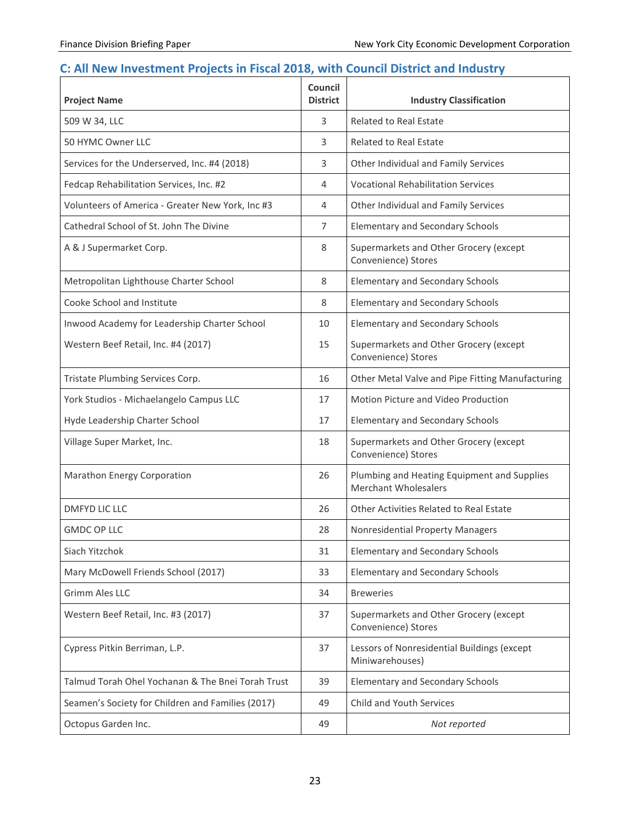# <span id="page-24-0"></span>**C: All New Investment Projects in Fiscal 2018, with Council District and Industry**

| <b>Project Name</b>                               | <b>Council</b><br><b>District</b> | <b>Industry Classification</b>                                             |
|---------------------------------------------------|-----------------------------------|----------------------------------------------------------------------------|
| 509 W 34, LLC                                     | 3                                 | <b>Related to Real Estate</b>                                              |
| 50 HYMC Owner LLC                                 | 3                                 | <b>Related to Real Estate</b>                                              |
| Services for the Underserved, Inc. #4 (2018)      | 3                                 | Other Individual and Family Services                                       |
| Fedcap Rehabilitation Services, Inc. #2           | 4                                 | <b>Vocational Rehabilitation Services</b>                                  |
| Volunteers of America - Greater New York, Inc #3  | 4                                 | Other Individual and Family Services                                       |
| Cathedral School of St. John The Divine           | 7                                 | <b>Elementary and Secondary Schools</b>                                    |
| A & J Supermarket Corp.                           | 8                                 | Supermarkets and Other Grocery (except<br>Convenience) Stores              |
| Metropolitan Lighthouse Charter School            | 8                                 | <b>Elementary and Secondary Schools</b>                                    |
| Cooke School and Institute                        | 8                                 | <b>Elementary and Secondary Schools</b>                                    |
| Inwood Academy for Leadership Charter School      | 10                                | <b>Elementary and Secondary Schools</b>                                    |
| Western Beef Retail, Inc. #4 (2017)               | 15                                | Supermarkets and Other Grocery (except<br>Convenience) Stores              |
| Tristate Plumbing Services Corp.                  | 16                                | Other Metal Valve and Pipe Fitting Manufacturing                           |
| York Studios - Michaelangelo Campus LLC           | 17                                | Motion Picture and Video Production                                        |
| Hyde Leadership Charter School                    | 17                                | <b>Elementary and Secondary Schools</b>                                    |
| Village Super Market, Inc.                        | 18                                | Supermarkets and Other Grocery (except<br>Convenience) Stores              |
| Marathon Energy Corporation                       | 26                                | Plumbing and Heating Equipment and Supplies<br><b>Merchant Wholesalers</b> |
| <b>DMFYD LIC LLC</b>                              | 26                                | <b>Other Activities Related to Real Estate</b>                             |
| <b>GMDC OP LLC</b>                                | 28                                | <b>Nonresidential Property Managers</b>                                    |
| Siach Yitzchok                                    | 31                                | <b>Elementary and Secondary Schools</b>                                    |
| Mary McDowell Friends School (2017)               | 33                                | <b>Elementary and Secondary Schools</b>                                    |
| <b>Grimm Ales LLC</b>                             | 34                                | <b>Breweries</b>                                                           |
| Western Beef Retail, Inc. #3 (2017)               | 37                                | Supermarkets and Other Grocery (except<br>Convenience) Stores              |
| Cypress Pitkin Berriman, L.P.                     | 37                                | Lessors of Nonresidential Buildings (except<br>Miniwarehouses)             |
| Talmud Torah Ohel Yochanan & The Bnei Torah Trust | 39                                | <b>Elementary and Secondary Schools</b>                                    |
| Seamen's Society for Children and Families (2017) | 49                                | Child and Youth Services                                                   |
| Octopus Garden Inc.                               | 49                                | Not reported                                                               |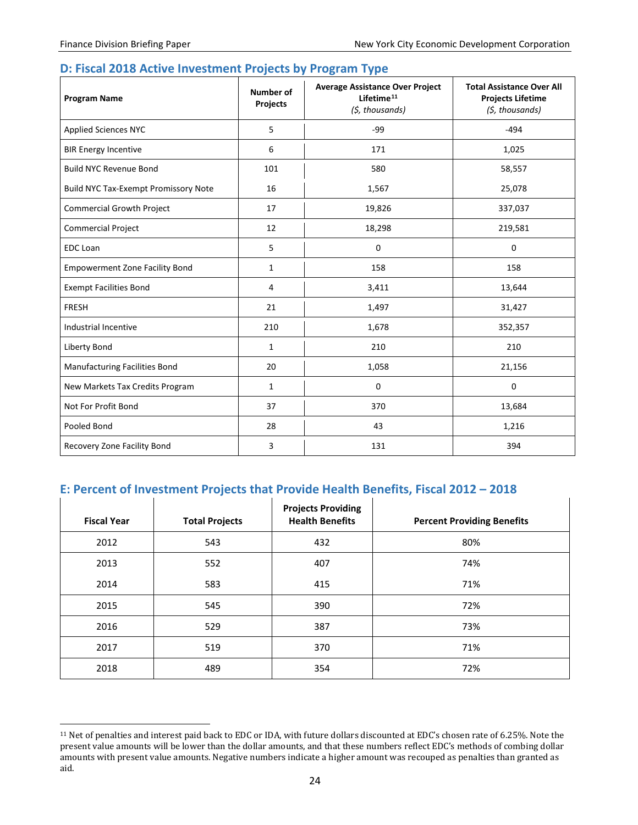#### <span id="page-25-0"></span>**D: Fiscal 2018 Active Investment Projects by Program Type**

| <b>Program Name</b>                         | <b>Number of</b><br>Projects | <b>Average Assistance Over Project</b><br>Lifetime <sup>11</sup><br>(\$, thousands) | <b>Total Assistance Over All</b><br><b>Projects Lifetime</b><br>(\$, thousands) |
|---------------------------------------------|------------------------------|-------------------------------------------------------------------------------------|---------------------------------------------------------------------------------|
| <b>Applied Sciences NYC</b>                 | 5                            | -99                                                                                 | $-494$                                                                          |
| <b>BIR Energy Incentive</b>                 | 6                            | 171                                                                                 | 1,025                                                                           |
| <b>Build NYC Revenue Bond</b>               | 101                          | 580                                                                                 | 58,557                                                                          |
| <b>Build NYC Tax-Exempt Promissory Note</b> | 16                           | 1,567                                                                               | 25,078                                                                          |
| <b>Commercial Growth Project</b>            | 17                           | 19,826                                                                              | 337,037                                                                         |
| <b>Commercial Project</b>                   | 12                           | 18,298                                                                              | 219,581                                                                         |
| <b>EDC</b> Loan                             | 5                            | 0                                                                                   | 0                                                                               |
| <b>Empowerment Zone Facility Bond</b>       | $\mathbf{1}$                 | 158                                                                                 | 158                                                                             |
| <b>Exempt Facilities Bond</b>               | 4                            | 3,411                                                                               | 13,644                                                                          |
| <b>FRESH</b>                                | 21                           | 1,497                                                                               | 31,427                                                                          |
| Industrial Incentive                        | 210                          | 1,678                                                                               | 352,357                                                                         |
| Liberty Bond                                | $\mathbf{1}$                 | 210                                                                                 | 210                                                                             |
| <b>Manufacturing Facilities Bond</b>        | 20                           | 1,058                                                                               | 21,156                                                                          |
| New Markets Tax Credits Program             | $\mathbf{1}$                 | 0                                                                                   | 0                                                                               |
| Not For Profit Bond                         | 37                           | 370                                                                                 | 13,684                                                                          |
| Pooled Bond                                 | 28                           | 43                                                                                  | 1,216                                                                           |
| Recovery Zone Facility Bond                 | 3                            | 131                                                                                 | 394                                                                             |

# <span id="page-25-1"></span>**E: Percent of Investment Projects that Provide Health Benefits, Fiscal 2012 – 2018**

| <b>Fiscal Year</b> | <b>Total Projects</b> | <b>Projects Providing</b><br><b>Health Benefits</b> | <b>Percent Providing Benefits</b> |
|--------------------|-----------------------|-----------------------------------------------------|-----------------------------------|
| 2012               | 543                   | 432                                                 | 80%                               |
| 2013               | 552                   | 407                                                 | 74%                               |
| 2014               | 583                   | 415                                                 | 71%                               |
| 2015               | 545                   | 390                                                 | 72%                               |
| 2016               | 529                   | 387                                                 | 73%                               |
| 2017               | 519                   | 370                                                 | 71%                               |
| 2018               | 489                   | 354                                                 | 72%                               |

<span id="page-25-2"></span> <sup>11</sup> Net of penalties and interest paid back to EDC or IDA, with future dollars discounted at EDC's chosen rate of 6.25%. Note the present value amounts will be lower than the dollar amounts, and that these numbers reflect EDC's methods of combing dollar amounts with present value amounts. Negative numbers indicate a higher amount was recouped as penalties than granted as aid.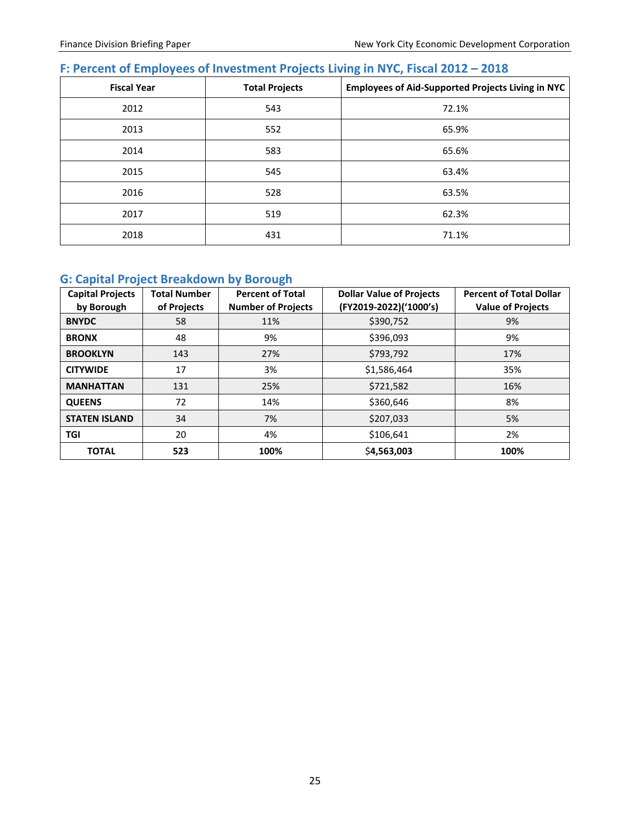# <span id="page-26-0"></span>**F: Percent of Employees of Investment Projects Living in NYC, Fiscal 2012 – 2018**

| <b>Fiscal Year</b> | <b>Total Projects</b> | <b>Employees of Aid-Supported Projects Living in NYC</b> |
|--------------------|-----------------------|----------------------------------------------------------|
| 2012               | 543                   | 72.1%                                                    |
| 2013               | 552                   | 65.9%                                                    |
| 2014               | 583                   | 65.6%                                                    |
| 2015               | 545                   | 63.4%                                                    |
| 2016               | 528                   | 63.5%                                                    |
| 2017               | 519                   | 62.3%                                                    |
| 2018               | 431                   | 71.1%                                                    |

# <span id="page-26-1"></span>**G: Capital Project Breakdown by Borough**

| <b>Capital Projects</b><br>by Borough | <b>Total Number</b><br>of Projects | <b>Percent of Total</b><br><b>Number of Projects</b> | <b>Dollar Value of Projects</b><br>(FY2019-2022)('1000's) | <b>Percent of Total Dollar</b><br><b>Value of Projects</b> |
|---------------------------------------|------------------------------------|------------------------------------------------------|-----------------------------------------------------------|------------------------------------------------------------|
| <b>BNYDC</b>                          | 58                                 | 11%                                                  | \$390,752                                                 | 9%                                                         |
| <b>BRONX</b>                          | 48                                 | 9%                                                   | \$396,093                                                 | 9%                                                         |
| <b>BROOKLYN</b>                       | 143                                | 27%                                                  | \$793,792                                                 | 17%                                                        |
| <b>CITYWIDE</b>                       | 17                                 | 3%                                                   | \$1,586,464                                               | 35%                                                        |
| <b>MANHATTAN</b>                      | 131                                | 25%                                                  | \$721,582                                                 | 16%                                                        |
| <b>QUEENS</b>                         | 72                                 | 14%                                                  | \$360,646                                                 | 8%                                                         |
| <b>STATEN ISLAND</b>                  | 34                                 | 7%                                                   | \$207,033                                                 | 5%                                                         |
| <b>TGI</b>                            | 20                                 | 4%                                                   | \$106,641                                                 | 2%                                                         |
| <b>TOTAL</b>                          | 523                                | 100%                                                 | \$4,563,003                                               | 100%                                                       |